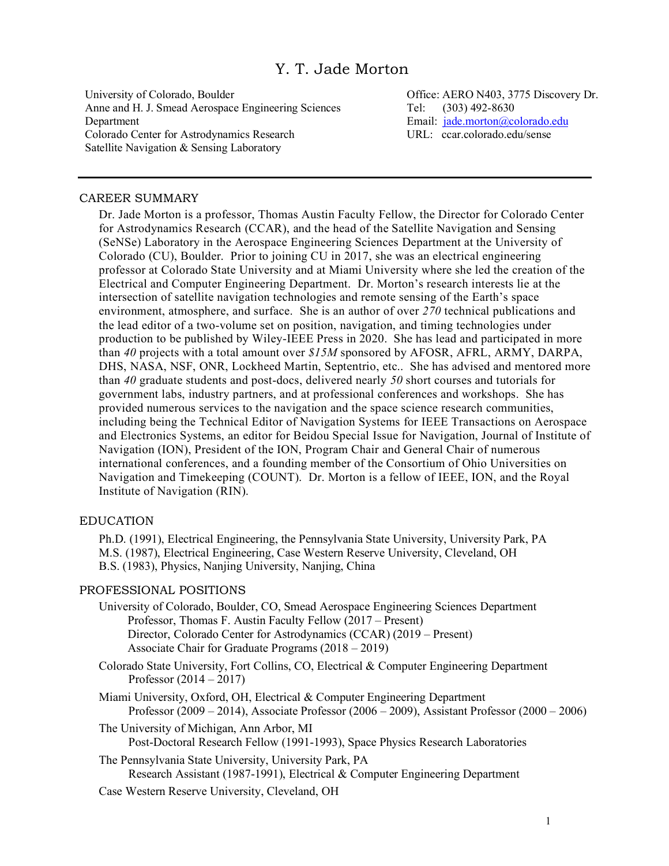# Y. T. Jade Morton

University of Colorado, Boulder Anne and H. J. Smead Aerospace Engineering Sciences Department Colorado Center for Astrodynamics Research Satellite Navigation & Sensing Laboratory

Office: AERO N403, 3775 Discovery Dr. Tel: (303) 492-8630 Email: jade.morton@colorado.edu URL: ccar.colorado.edu/sense

#### CAREER SUMMARY

Dr. Jade Morton is a professor, Thomas Austin Faculty Fellow, the Director for Colorado Center for Astrodynamics Research (CCAR), and the head of the Satellite Navigation and Sensing (SeNSe) Laboratory in the Aerospace Engineering Sciences Department at the University of Colorado (CU), Boulder. Prior to joining CU in 2017, she was an electrical engineering professor at Colorado State University and at Miami University where she led the creation of the Electrical and Computer Engineering Department. Dr. Morton's research interests lie at the intersection of satellite navigation technologies and remote sensing of the Earth's space environment, atmosphere, and surface. She is an author of over *270* technical publications and the lead editor of a two-volume set on position, navigation, and timing technologies under production to be published by Wiley-IEEE Press in 2020. She has lead and participated in more than *40* projects with a total amount over *\$15M* sponsored by AFOSR, AFRL, ARMY, DARPA, DHS, NASA, NSF, ONR, Lockheed Martin, Septentrio, etc.. She has advised and mentored more than *40* graduate students and post-docs, delivered nearly *50* short courses and tutorials for government labs, industry partners, and at professional conferences and workshops. She has provided numerous services to the navigation and the space science research communities, including being the Technical Editor of Navigation Systems for IEEE Transactions on Aerospace and Electronics Systems, an editor for Beidou Special Issue for Navigation, Journal of Institute of Navigation (ION), President of the ION, Program Chair and General Chair of numerous international conferences, and a founding member of the Consortium of Ohio Universities on Navigation and Timekeeping (COUNT). Dr. Morton is a fellow of IEEE, ION, and the Royal Institute of Navigation (RIN).

## EDUCATION

Ph.D. (1991), Electrical Engineering, the Pennsylvania State University, University Park, PA M.S. (1987), Electrical Engineering, Case Western Reserve University, Cleveland, OH B.S. (1983), Physics, Nanjing University, Nanjing, China

#### PROFESSIONAL POSITIONS

University of Colorado, Boulder, CO, Smead Aerospace Engineering Sciences Department Professor, Thomas F. Austin Faculty Fellow (2017 – Present) Director, Colorado Center for Astrodynamics (CCAR) (2019 – Present) Associate Chair for Graduate Programs (2018 – 2019)

Colorado State University, Fort Collins, CO, Electrical & Computer Engineering Department Professor (2014 – 2017)

Miami University, Oxford, OH, Electrical & Computer Engineering Department Professor (2009 – 2014), Associate Professor (2006 – 2009), Assistant Professor (2000 – 2006)

- The University of Michigan, Ann Arbor, MI Post-Doctoral Research Fellow (1991-1993), Space Physics Research Laboratories
- The Pennsylvania State University, University Park, PA Research Assistant (1987-1991), Electrical & Computer Engineering Department
- Case Western Reserve University, Cleveland, OH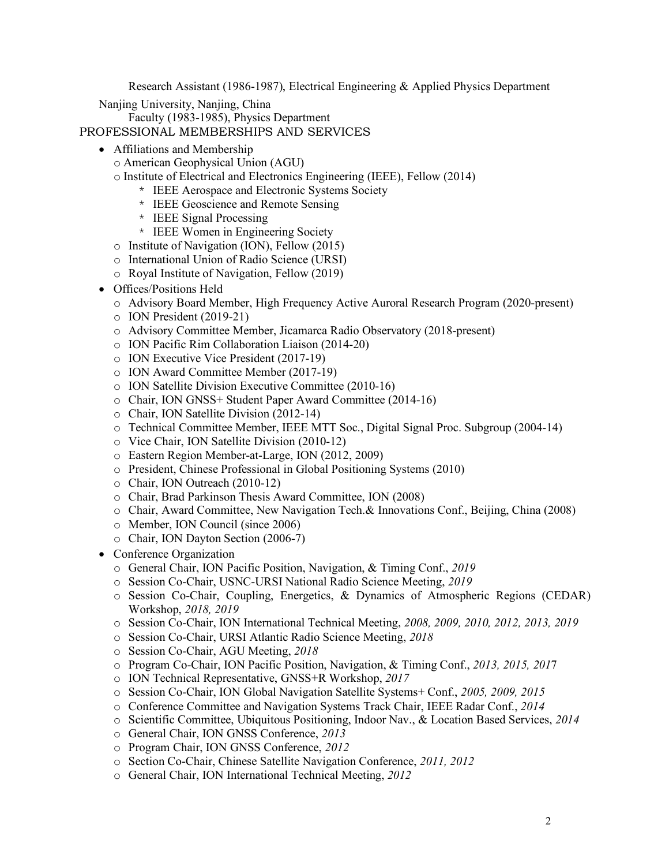Research Assistant (1986-1987), Electrical Engineering & Applied Physics Department

Nanjing University, Nanjing, China

Faculty (1983-1985), Physics Department

PROFESSIONAL MEMBERSHIPS AND SERVICES

- Affiliations and Membership
	- o American Geophysical Union (AGU)
	- o Institute of Electrical and Electronics Engineering (IEEE), Fellow (2014)
		- \* IEEE Aerospace and Electronic Systems Society
		- \* IEEE Geoscience and Remote Sensing
		- \* IEEE Signal Processing
		- \* IEEE Women in Engineering Society
	- o Institute of Navigation (ION), Fellow (2015)
	- o International Union of Radio Science (URSI)
	- o Royal Institute of Navigation, Fellow (2019)
- Offices/Positions Held
	- o Advisory Board Member, High Frequency Active Auroral Research Program (2020-present)
	- o ION President (2019-21)
	- o Advisory Committee Member, Jicamarca Radio Observatory (2018-present)
	- o ION Pacific Rim Collaboration Liaison (2014-20)
	- o ION Executive Vice President (2017-19)
	- o ION Award Committee Member (2017-19)
	- o ION Satellite Division Executive Committee (2010-16)
	- o Chair, ION GNSS+ Student Paper Award Committee (2014-16)
	- o Chair, ION Satellite Division (2012-14)
	- o Technical Committee Member, IEEE MTT Soc., Digital Signal Proc. Subgroup (2004-14)
	- o Vice Chair, ION Satellite Division (2010-12)
	- o Eastern Region Member-at-Large, ION (2012, 2009)
	- o President, Chinese Professional in Global Positioning Systems (2010)
	- o Chair, ION Outreach (2010-12)
	- o Chair, Brad Parkinson Thesis Award Committee, ION (2008)
	- o Chair, Award Committee, New Navigation Tech.& Innovations Conf., Beijing, China (2008)
	- o Member, ION Council (since 2006)
	- o Chair, ION Dayton Section (2006-7)
- Conference Organization
	- o General Chair, ION Pacific Position, Navigation, & Timing Conf., *2019*
	- o Session Co-Chair, USNC-URSI National Radio Science Meeting, *2019*
	- o Session Co-Chair, Coupling, Energetics, & Dynamics of Atmospheric Regions (CEDAR) Workshop, *2018, 2019*
	- o Session Co-Chair, ION International Technical Meeting, *2008, 2009, 2010, 2012, 2013, 2019*
	- o Session Co-Chair, URSI Atlantic Radio Science Meeting, *2018*
	- o Session Co-Chair, AGU Meeting, *2018*
	- o Program Co-Chair, ION Pacific Position, Navigation, & Timing Conf., *2013, 2015, 201*7
	- o ION Technical Representative, GNSS+R Workshop, *2017*
	- o Session Co-Chair, ION Global Navigation Satellite Systems+ Conf., *2005, 2009, 2015*
	- o Conference Committee and Navigation Systems Track Chair, IEEE Radar Conf., *2014*
	- o Scientific Committee, Ubiquitous Positioning, Indoor Nav., & Location Based Services, *2014*
	- o General Chair, ION GNSS Conference, *2013*
	- o Program Chair, ION GNSS Conference, *2012*
	- o Section Co-Chair, Chinese Satellite Navigation Conference, *2011, 2012*
	- o General Chair, ION International Technical Meeting, *2012*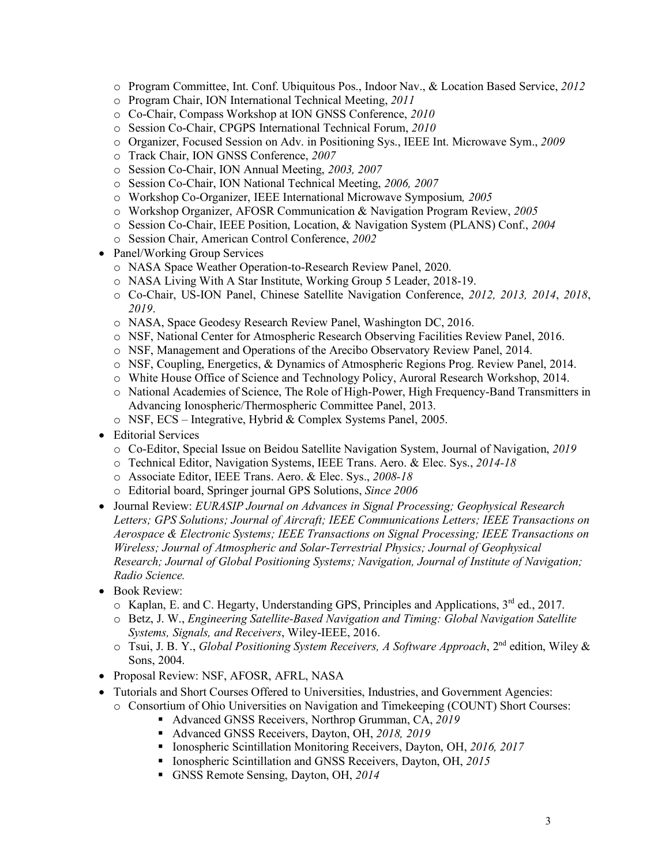- o Program Committee, Int. Conf. Ubiquitous Pos., Indoor Nav., & Location Based Service, *2012*
- o Program Chair, ION International Technical Meeting, *2011*
- o Co-Chair, Compass Workshop at ION GNSS Conference, *2010*
- o Session Co-Chair, CPGPS International Technical Forum, *2010*
- o Organizer, Focused Session on Adv. in Positioning Sys., IEEE Int. Microwave Sym., *2009*
- o Track Chair, ION GNSS Conference, *2007*
- o Session Co-Chair, ION Annual Meeting, *2003, 2007*
- o Session Co-Chair, ION National Technical Meeting, *2006, 2007*
- o Workshop Co-Organizer, IEEE International Microwave Symposium*, 2005*
- o Workshop Organizer, AFOSR Communication & Navigation Program Review, *2005*
- o Session Co-Chair, IEEE Position, Location, & Navigation System (PLANS) Conf., *2004*
- o Session Chair, American Control Conference, *2002*
- Panel/Working Group Services
	- o NASA Space Weather Operation-to-Research Review Panel, 2020.
	- o NASA Living With A Star Institute, Working Group 5 Leader, 2018-19.
	- o Co-Chair, US-ION Panel, Chinese Satellite Navigation Conference, *2012, 2013, 2014*, *2018*, *2019*.
	- o NASA, Space Geodesy Research Review Panel, Washington DC, 2016.
	- o NSF, National Center for Atmospheric Research Observing Facilities Review Panel, 2016.
	- o NSF, Management and Operations of the Arecibo Observatory Review Panel, 2014.
	- o NSF, Coupling, Energetics, & Dynamics of Atmospheric Regions Prog. Review Panel, 2014.
	- o White House Office of Science and Technology Policy, Auroral Research Workshop, 2014.
	- o National Academies of Science, The Role of High-Power, High Frequency-Band Transmitters in Advancing Ionospheric/Thermospheric Committee Panel, 2013.
	- o NSF, ECS Integrative, Hybrid & Complex Systems Panel, 2005.
- Editorial Services
	- o Co-Editor, Special Issue on Beidou Satellite Navigation System, Journal of Navigation, *2019*
	- o Technical Editor, Navigation Systems, IEEE Trans. Aero. & Elec. Sys., *2014-18*
	- o Associate Editor, IEEE Trans. Aero. & Elec. Sys., *2008-18*
	- o Editorial board, Springer journal GPS Solutions, *Since 2006*
- Journal Review: *EURASIP Journal on Advances in Signal Processing; Geophysical Research Letters; GPS Solutions; Journal of Aircraft; IEEE Communications Letters; IEEE Transactions on Aerospace & Electronic Systems; IEEE Transactions on Signal Processing; IEEE Transactions on Wireless; Journal of Atmospheric and Solar-Terrestrial Physics; Journal of Geophysical Research; Journal of Global Positioning Systems; Navigation, Journal of Institute of Navigation; Radio Science.*
- Book Review:
	- $\circ$  Kaplan, E. and C. Hegarty, Understanding GPS, Principles and Applications,  $3^{rd}$  ed., 2017.
	- o Betz, J. W., *Engineering Satellite-Based Navigation and Timing: Global Navigation Satellite Systems, Signals, and Receivers*, Wiley-IEEE, 2016.
	- o Tsui, J. B. Y., *Global Positioning System Receivers, A Software Approach*, 2nd edition, Wiley & Sons, 2004.
- Proposal Review: NSF, AFOSR, AFRL, NASA
- Tutorials and Short Courses Offered to Universities, Industries, and Government Agencies:
	- o Consortium of Ohio Universities on Navigation and Timekeeping (COUNT) Short Courses:
		- Advanced GNSS Receivers, Northrop Grumman, CA, 2019
		- § Advanced GNSS Receivers, Dayton, OH, *2018, 2019*
		- § Ionospheric Scintillation Monitoring Receivers, Dayton, OH, *2016, 2017*
		- § Ionospheric Scintillation and GNSS Receivers, Dayton, OH, *2015*
		- § GNSS Remote Sensing, Dayton, OH, *2014*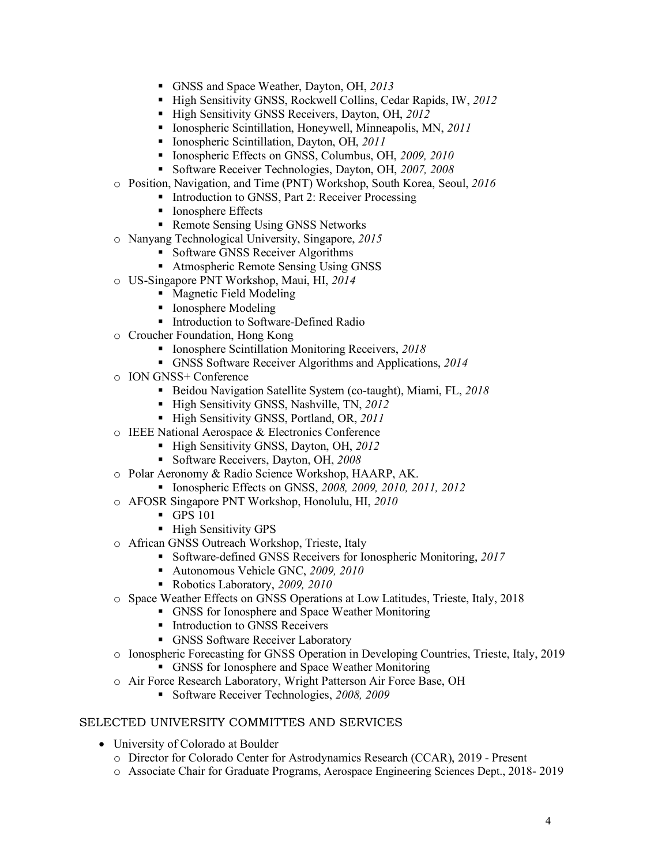- § GNSS and Space Weather, Dayton, OH, *2013*
- § High Sensitivity GNSS, Rockwell Collins, Cedar Rapids, IW, *2012*
- § High Sensitivity GNSS Receivers, Dayton, OH, *2012*
- § Ionospheric Scintillation, Honeywell, Minneapolis, MN, *2011*
- Ionospheric Scintillation, Dayton, OH, 2011
- § Ionospheric Effects on GNSS, Columbus, OH, *2009, 2010*
- § Software Receiver Technologies, Dayton, OH, *2007, 2008*
- o Position, Navigation, and Time (PNT) Workshop, South Korea, Seoul, *2016*
	- Introduction to GNSS, Part 2: Receiver Processing
	- Ionosphere Effects
	- Remote Sensing Using GNSS Networks
- o Nanyang Technological University, Singapore, *2015*
	- Software GNSS Receiver Algorithms
	- Atmospheric Remote Sensing Using GNSS
- o US-Singapore PNT Workshop, Maui, HI, *2014*
	- Magnetic Field Modeling
	- Ionosphere Modeling
	- Introduction to Software-Defined Radio
- o Croucher Foundation, Hong Kong
	- § Ionosphere Scintillation Monitoring Receivers, *2018*
	- § GNSS Software Receiver Algorithms and Applications, *2014*
- o ION GNSS+ Conference
	- § Beidou Navigation Satellite System (co-taught), Miami, FL, *2018*
	- § High Sensitivity GNSS, Nashville, TN, *2012*
	- § High Sensitivity GNSS, Portland, OR, *2011*
- o IEEE National Aerospace & Electronics Conference
	- § High Sensitivity GNSS, Dayton, OH, *2012*
		- § Software Receivers, Dayton, OH, *2008*
- o Polar Aeronomy & Radio Science Workshop, HAARP, AK.
	- § Ionospheric Effects on GNSS, *2008, 2009, 2010, 2011, 2012*
- o AFOSR Singapore PNT Workshop, Honolulu, HI, *2010*
	- § GPS 101
	- High Sensitivity GPS
- o African GNSS Outreach Workshop, Trieste, Italy
	- § Software-defined GNSS Receivers for Ionospheric Monitoring, *2017*
	- § Autonomous Vehicle GNC, *2009, 2010*
	- § Robotics Laboratory, *2009, 2010*
- o Space Weather Effects on GNSS Operations at Low Latitudes, Trieste, Italy, 2018
	- § GNSS for Ionosphere and Space Weather Monitoring
	- Introduction to GNSS Receivers
	- GNSS Software Receiver Laboratory
- o Ionospheric Forecasting for GNSS Operation in Developing Countries, Trieste, Italy, 2019 § GNSS for Ionosphere and Space Weather Monitoring
- o Air Force Research Laboratory, Wright Patterson Air Force Base, OH
	- § Software Receiver Technologies, *2008, 2009*

## SELECTED UNIVERSITY COMMITTES AND SERVICES

- University of Colorado at Boulder
	- o Director for Colorado Center for Astrodynamics Research (CCAR), 2019 Present
	- o Associate Chair for Graduate Programs, Aerospace Engineering Sciences Dept., 2018- 2019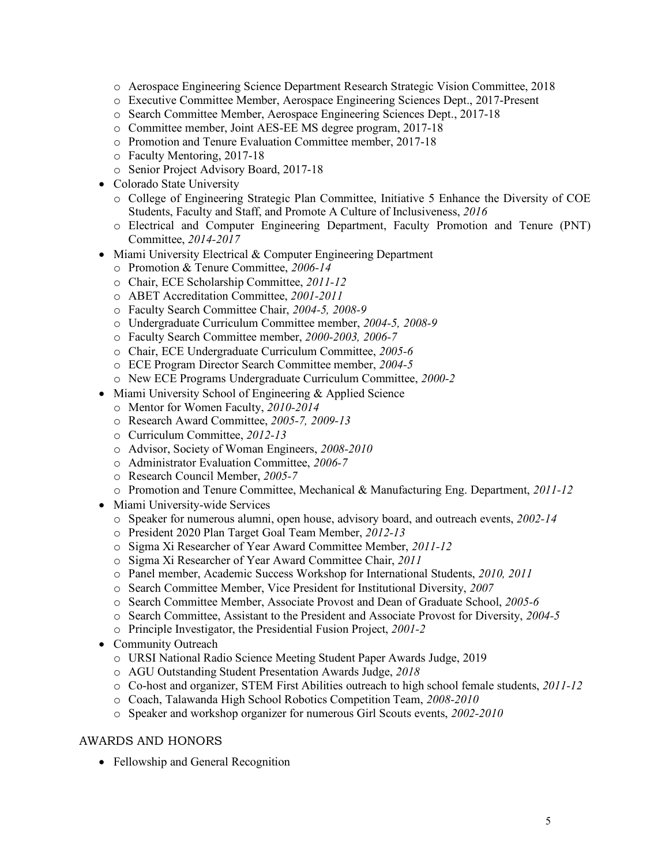- o Aerospace Engineering Science Department Research Strategic Vision Committee, 2018
- o Executive Committee Member, Aerospace Engineering Sciences Dept., 2017-Present
- o Search Committee Member, Aerospace Engineering Sciences Dept., 2017-18
- o Committee member, Joint AES-EE MS degree program, 2017-18
- o Promotion and Tenure Evaluation Committee member, 2017-18
- o Faculty Mentoring, 2017-18
- o Senior Project Advisory Board, 2017-18
- Colorado State University
	- o College of Engineering Strategic Plan Committee, Initiative 5 Enhance the Diversity of COE Students, Faculty and Staff, and Promote A Culture of Inclusiveness, *2016*
	- o Electrical and Computer Engineering Department, Faculty Promotion and Tenure (PNT) Committee, *2014-2017*
- Miami University Electrical & Computer Engineering Department
	- o Promotion & Tenure Committee, *2006-14*
	- o Chair, ECE Scholarship Committee, *2011-12*
	- o ABET Accreditation Committee, *2001-2011*
	- o Faculty Search Committee Chair, *2004-5, 2008-9*
	- o Undergraduate Curriculum Committee member, *2004-5, 2008-9*
	- o Faculty Search Committee member, *2000-2003, 2006-7*
	- o Chair, ECE Undergraduate Curriculum Committee, *2005-6*
	- o ECE Program Director Search Committee member, *2004-5*
	- o New ECE Programs Undergraduate Curriculum Committee, *2000-2*
- Miami University School of Engineering & Applied Science
	- o Mentor for Women Faculty, *2010-2014*
	- o Research Award Committee, *2005-7, 2009-13*
	- o Curriculum Committee, *2012-13*
	- o Advisor, Society of Woman Engineers, *2008-2010*
	- o Administrator Evaluation Committee, *2006-7*
	- o Research Council Member, *2005-7*
	- o Promotion and Tenure Committee, Mechanical & Manufacturing Eng. Department, *2011-12*
- Miami University-wide Services
	- o Speaker for numerous alumni, open house, advisory board, and outreach events, *2002-14*
	- o President 2020 Plan Target Goal Team Member, *2012-13*
	- o Sigma Xi Researcher of Year Award Committee Member, *2011-12*
	- o Sigma Xi Researcher of Year Award Committee Chair, *2011*
	- o Panel member, Academic Success Workshop for International Students, *2010, 2011*
	- o Search Committee Member, Vice President for Institutional Diversity, *2007*
	- o Search Committee Member, Associate Provost and Dean of Graduate School, *2005-6*
	- o Search Committee, Assistant to the President and Associate Provost for Diversity, *2004-5*
	- o Principle Investigator, the Presidential Fusion Project, *2001-2*
- Community Outreach
	- o URSI National Radio Science Meeting Student Paper Awards Judge, 2019
	- o AGU Outstanding Student Presentation Awards Judge, *2018*
	- o Co-host and organizer, STEM First Abilities outreach to high school female students, *2011-12*
	- o Coach, Talawanda High School Robotics Competition Team, *2008-2010*
	- o Speaker and workshop organizer for numerous Girl Scouts events, *2002-2010*

## AWARDS AND HONORS

• Fellowship and General Recognition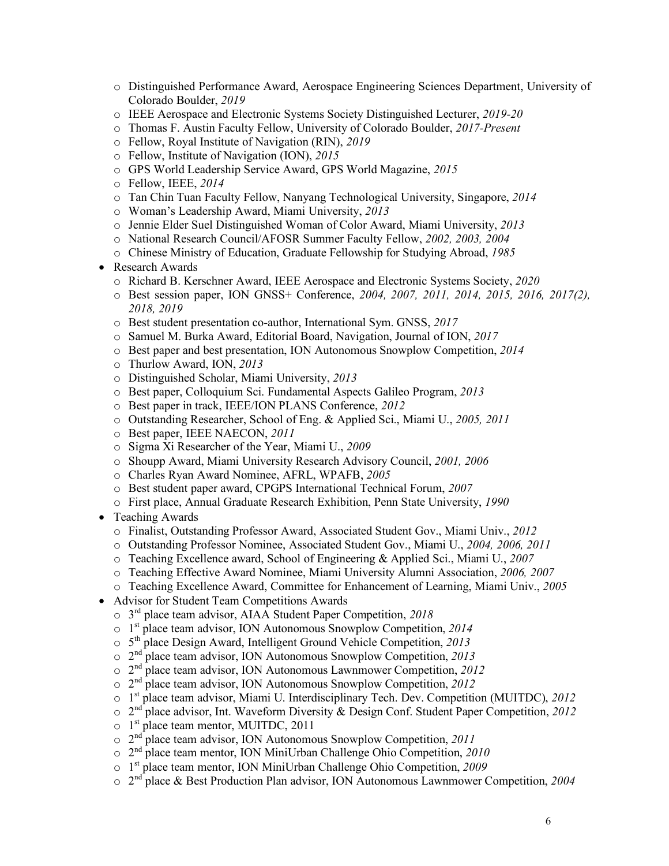- o Distinguished Performance Award, Aerospace Engineering Sciences Department, University of Colorado Boulder, *2019*
- o IEEE Aerospace and Electronic Systems Society Distinguished Lecturer, *2019-20*
- o Thomas F. Austin Faculty Fellow, University of Colorado Boulder, *2017-Present*
- o Fellow, Royal Institute of Navigation (RIN), *2019*
- o Fellow, Institute of Navigation (ION), *2015*
- o GPS World Leadership Service Award, GPS World Magazine, *2015*
- o Fellow, IEEE, *2014*
- o Tan Chin Tuan Faculty Fellow, Nanyang Technological University, Singapore, *2014*
- o Woman's Leadership Award, Miami University, *2013*
- o Jennie Elder Suel Distinguished Woman of Color Award, Miami University, *2013*
- o National Research Council/AFOSR Summer Faculty Fellow, *2002, 2003, 2004*
- o Chinese Ministry of Education, Graduate Fellowship for Studying Abroad, *1985*
- Research Awards
	- o Richard B. Kerschner Award, IEEE Aerospace and Electronic Systems Society, *2020*
	- o Best session paper, ION GNSS+ Conference, *2004, 2007, 2011, 2014, 2015, 2016, 2017(2), 2018, 2019*
	- o Best student presentation co-author, International Sym. GNSS, *2017*
	- o Samuel M. Burka Award, Editorial Board, Navigation, Journal of ION, *2017*
	- o Best paper and best presentation, ION Autonomous Snowplow Competition, *2014*
	- o Thurlow Award, ION, *2013*
	- o Distinguished Scholar, Miami University, *2013*
	- o Best paper, Colloquium Sci. Fundamental Aspects Galileo Program, *2013*
	- o Best paper in track, IEEE/ION PLANS Conference, *2012*
	- o Outstanding Researcher, School of Eng. & Applied Sci., Miami U., *2005, 2011*
	- o Best paper, IEEE NAECON, *2011*
	- o Sigma Xi Researcher of the Year, Miami U., *2009*
	- o Shoupp Award, Miami University Research Advisory Council, *2001, 2006*
	- o Charles Ryan Award Nominee, AFRL, WPAFB, *2005*
	- o Best student paper award, CPGPS International Technical Forum, *2007*
	- o First place, Annual Graduate Research Exhibition, Penn State University, *1990*
- Teaching Awards
	- o Finalist, Outstanding Professor Award, Associated Student Gov., Miami Univ., *2012*
	- o Outstanding Professor Nominee, Associated Student Gov., Miami U., *2004, 2006, 2011*
	- o Teaching Excellence award, School of Engineering & Applied Sci., Miami U., *2007*
	- o Teaching Effective Award Nominee, Miami University Alumni Association, *2006, 2007*
	- o Teaching Excellence Award, Committee for Enhancement of Learning, Miami Univ., *2005*
- Advisor for Student Team Competitions Awards
	- o 3rd place team advisor, AIAA Student Paper Competition, *2018*
	- o 1st place team advisor, ION Autonomous Snowplow Competition, *2014*
	- o 5th place Design Award, Intelligent Ground Vehicle Competition, *2013*
	- o 2nd place team advisor, ION Autonomous Snowplow Competition, *2013*
	- o 2nd place team advisor, ION Autonomous Lawnmower Competition, *2012*
	- o 2nd place team advisor, ION Autonomous Snowplow Competition, *2012*
	- o 1st place team advisor, Miami U. Interdisciplinary Tech. Dev. Competition (MUITDC), *2012*
	- o 2nd place advisor, Int. Waveform Diversity & Design Conf. Student Paper Competition, *2012*
	- $\circ$  1<sup>st</sup> place team mentor, MUITDC, 2011
	- o 2nd place team advisor, ION Autonomous Snowplow Competition, *2011*
	- o 2nd place team mentor, ION MiniUrban Challenge Ohio Competition, *2010*
	- o 1st place team mentor, ION MiniUrban Challenge Ohio Competition, *2009*
	- o 2nd place & Best Production Plan advisor, ION Autonomous Lawnmower Competition, *2004*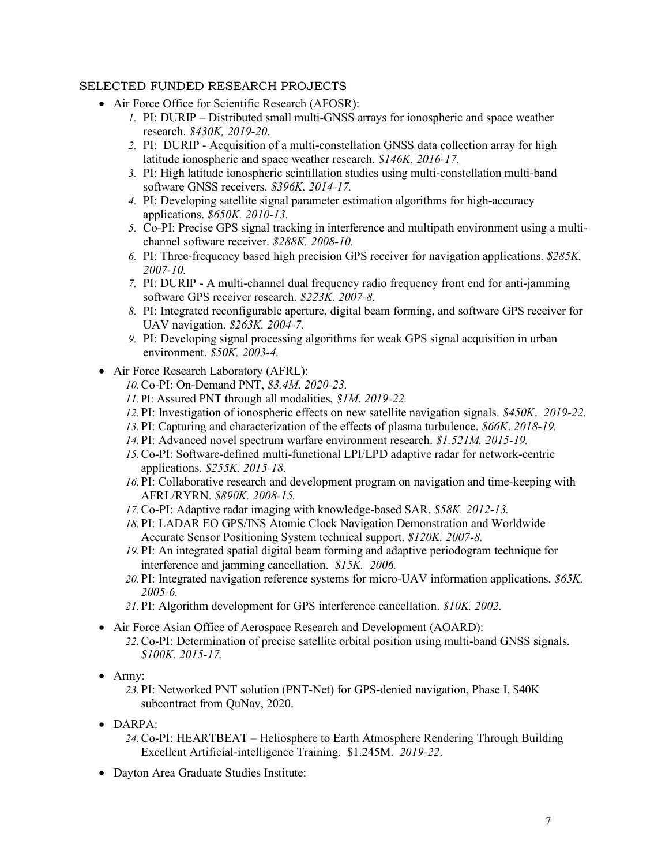## SELECTED FUNDED RESEARCH PROJECTS

- Air Force Office for Scientific Research (AFOSR):
	- *1.* PI: DURIP Distributed small multi-GNSS arrays for ionospheric and space weather research. *\$430K, 2019-20*.
	- *2.* PI: DURIP Acquisition of a multi-constellation GNSS data collection array for high latitude ionospheric and space weather research. *\$146K. 2016-17.*
	- *3.* PI: High latitude ionospheric scintillation studies using multi-constellation multi-band software GNSS receivers. *\$396K. 2014-17.*
	- *4.* PI: Developing satellite signal parameter estimation algorithms for high-accuracy applications. *\$650K. 2010-13.*
	- *5.* Co-PI: Precise GPS signal tracking in interference and multipath environment using a multichannel software receiver. *\$288K. 2008-10.*
	- *6.* PI: Three-frequency based high precision GPS receiver for navigation applications. *\$285K. 2007-10.*
	- *7.* PI: DURIP A multi-channel dual frequency radio frequency front end for anti-jamming software GPS receiver research. *\$223K. 2007-8.*
	- *8.* PI: Integrated reconfigurable aperture, digital beam forming, and software GPS receiver for UAV navigation. *\$263K. 2004-7.*
	- *9.* PI: Developing signal processing algorithms for weak GPS signal acquisition in urban environment. *\$50K. 2003-4.*
- Air Force Research Laboratory (AFRL):
	- *10.*Co-PI: On-Demand PNT, *\$3.4M. 2020-23.*
	- *11.* PI: Assured PNT through all modalities, *\$1M*. *2019-22.*
	- *12.* PI: Investigation of ionospheric effects on new satellite navigation signals. *\$450K*. *2019-22.*
	- *13.* PI: Capturing and characterization of the effects of plasma turbulence. *\$66K*. *2018-19.*
	- *14.* PI: Advanced novel spectrum warfare environment research. *\$1.521M. 2015-19.*
	- *15.*Co-PI: Software-defined multi-functional LPI/LPD adaptive radar for network-centric applications. *\$255K. 2015-18.*
	- *16.* PI: Collaborative research and development program on navigation and time-keeping with AFRL/RYRN. *\$890K. 2008-15.*
	- *17.*Co-PI: Adaptive radar imaging with knowledge-based SAR. *\$58K. 2012-13.*
	- *18.* PI: LADAR EO GPS/INS Atomic Clock Navigation Demonstration and Worldwide Accurate Sensor Positioning System technical support. *\$120K. 2007-8.*
	- *19.* PI: An integrated spatial digital beam forming and adaptive periodogram technique for interference and jamming cancellation. *\$15K. 2006.*
	- *20.* PI: Integrated navigation reference systems for micro-UAV information applications. *\$65K. 2005-6.*
	- *21.* PI: Algorithm development for GPS interference cancellation. *\$10K. 2002.*
- Air Force Asian Office of Aerospace Research and Development (AOARD): *22.*Co-PI: Determination of precise satellite orbital position using multi-band GNSS signals. *\$100K. 2015-17.*
- Army:
	- *23.* PI: Networked PNT solution (PNT-Net) for GPS-denied navigation, Phase I, \$40K subcontract from QuNav, 2020.
- $\bullet$  DARPA $\cdot$ 
	- *24.*Co-PI: HEARTBEAT Heliosphere to Earth Atmosphere Rendering Through Building Excellent Artificial-intelligence Training. \$1.245M. *2019-22*.
- Dayton Area Graduate Studies Institute: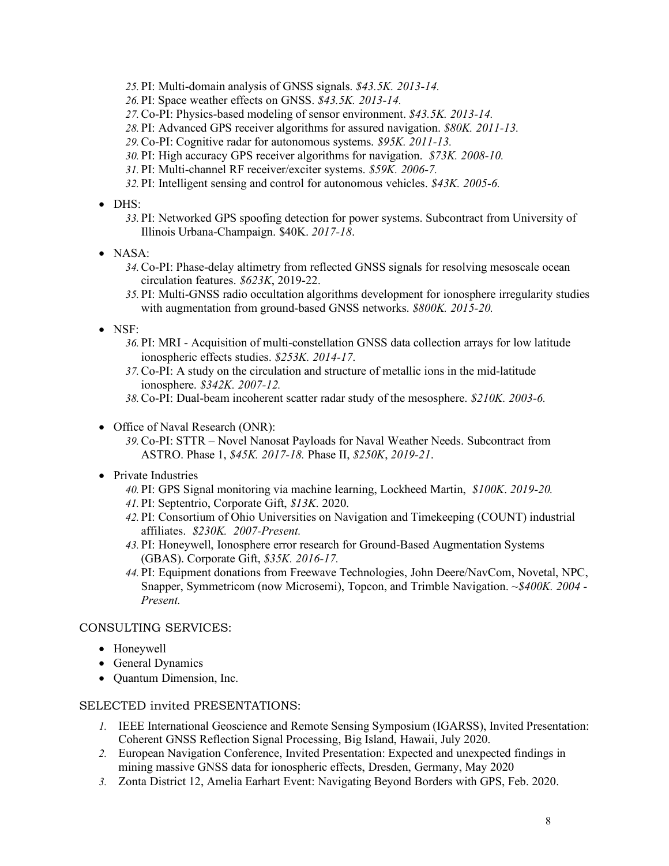- *25.* PI: Multi-domain analysis of GNSS signals. *\$43.5K. 2013-14.*
- *26.* PI: Space weather effects on GNSS. *\$43.5K. 2013-14.*
- *27.*Co-PI: Physics-based modeling of sensor environment. *\$43.5K. 2013-14.*
- *28.* PI: Advanced GPS receiver algorithms for assured navigation. *\$80K. 2011-13.*
- *29.*Co-PI: Cognitive radar for autonomous systems. *\$95K. 2011-13.*
- *30.* PI: High accuracy GPS receiver algorithms for navigation. *\$73K. 2008-10.*
- *31.* PI: Multi-channel RF receiver/exciter systems. *\$59K. 2006-7.*
- *32.* PI: Intelligent sensing and control for autonomous vehicles. *\$43K. 2005-6.*
- DHS:
	- *33.* PI: Networked GPS spoofing detection for power systems. Subcontract from University of Illinois Urbana-Champaign. \$40K. *2017-18*.
- NASA:
	- *34.*Co-PI: Phase-delay altimetry from reflected GNSS signals for resolving mesoscale ocean circulation features. *\$623K*, 2019-22.
	- *35.* PI: Multi-GNSS radio occultation algorithms development for ionosphere irregularity studies with augmentation from ground-based GNSS networks. *\$800K. 2015-20.*
- NSF:
	- *36.* PI: MRI Acquisition of multi-constellation GNSS data collection arrays for low latitude ionospheric effects studies. *\$253K. 2014-17*.
	- *37.*Co-PI: A study on the circulation and structure of metallic ions in the mid-latitude ionosphere. *\$342K. 2007-12.*
	- *38.*Co-PI: Dual-beam incoherent scatter radar study of the mesosphere. *\$210K. 2003-6.*
- Office of Naval Research (ONR):
	- *39.*Co-PI: STTR Novel Nanosat Payloads for Naval Weather Needs. Subcontract from ASTRO. Phase 1, *\$45K. 2017-18.* Phase II, *\$250K*, *2019-21*.
- Private Industries
	- *40.* PI: GPS Signal monitoring via machine learning, Lockheed Martin, *\$100K*. *2019-20.*
	- *41.* PI: Septentrio, Corporate Gift, *\$13K*. 2020.
	- *42.* PI: Consortium of Ohio Universities on Navigation and Timekeeping (COUNT) industrial affiliates. *\$230K. 2007-Present.*
	- *43.* PI: Honeywell, Ionosphere error research for Ground-Based Augmentation Systems (GBAS). Corporate Gift, *\$35K. 2016-17.*
	- *44.* PI: Equipment donations from Freewave Technologies, John Deere/NavCom, Novetal, NPC, Snapper, Symmetricom (now Microsemi), Topcon, and Trimble Navigation. *~\$400K. 2004 - Present.*

## CONSULTING SERVICES:

- Honeywell
- General Dynamics
- Quantum Dimension, Inc.

## SELECTED invited PRESENTATIONS:

- *1.* IEEE International Geoscience and Remote Sensing Symposium (IGARSS), Invited Presentation: Coherent GNSS Reflection Signal Processing, Big Island, Hawaii, July 2020.
- *2.* European Navigation Conference, Invited Presentation: Expected and unexpected findings in mining massive GNSS data for ionospheric effects, Dresden, Germany, May 2020
- *3.* Zonta District 12, Amelia Earhart Event: Navigating Beyond Borders with GPS, Feb. 2020.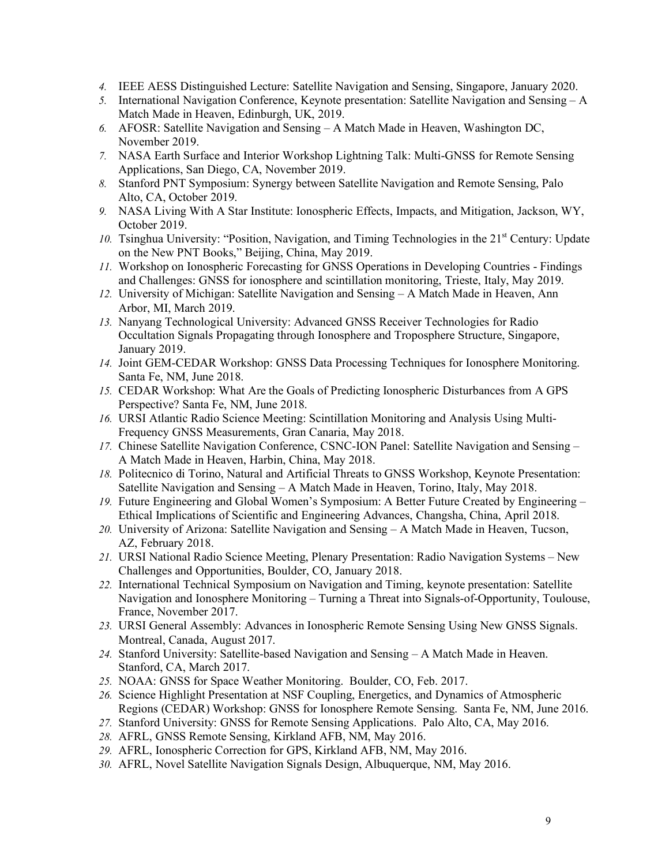- *4.* IEEE AESS Distinguished Lecture: Satellite Navigation and Sensing, Singapore, January 2020.
- *5.* International Navigation Conference, Keynote presentation: Satellite Navigation and Sensing A Match Made in Heaven, Edinburgh, UK, 2019.
- *6.* AFOSR: Satellite Navigation and Sensing A Match Made in Heaven, Washington DC, November 2019.
- *7.* NASA Earth Surface and Interior Workshop Lightning Talk: Multi-GNSS for Remote Sensing Applications, San Diego, CA, November 2019.
- *8.* Stanford PNT Symposium: Synergy between Satellite Navigation and Remote Sensing, Palo Alto, CA, October 2019.
- *9.* NASA Living With A Star Institute: Ionospheric Effects, Impacts, and Mitigation, Jackson, WY, October 2019.
- 10. Tsinghua University: "Position, Navigation, and Timing Technologies in the 21<sup>st</sup> Century: Update on the New PNT Books," Beijing, China, May 2019.
- *11.* Workshop on Ionospheric Forecasting for GNSS Operations in Developing Countries Findings and Challenges: GNSS for ionosphere and scintillation monitoring, Trieste, Italy, May 2019.
- *12.* University of Michigan: Satellite Navigation and Sensing A Match Made in Heaven, Ann Arbor, MI, March 2019.
- *13.* Nanyang Technological University: Advanced GNSS Receiver Technologies for Radio Occultation Signals Propagating through Ionosphere and Troposphere Structure, Singapore, January 2019.
- *14.* Joint GEM-CEDAR Workshop: GNSS Data Processing Techniques for Ionosphere Monitoring. Santa Fe, NM, June 2018.
- *15.* CEDAR Workshop: What Are the Goals of Predicting Ionospheric Disturbances from A GPS Perspective? Santa Fe, NM, June 2018.
- *16.* URSI Atlantic Radio Science Meeting: Scintillation Monitoring and Analysis Using Multi-Frequency GNSS Measurements, Gran Canaria, May 2018.
- *17.* Chinese Satellite Navigation Conference, CSNC-ION Panel: Satellite Navigation and Sensing A Match Made in Heaven, Harbin, China, May 2018.
- *18.* Politecnico di Torino, Natural and Artificial Threats to GNSS Workshop, Keynote Presentation: Satellite Navigation and Sensing – A Match Made in Heaven, Torino, Italy, May 2018.
- *19.* Future Engineering and Global Women's Symposium: A Better Future Created by Engineering Ethical Implications of Scientific and Engineering Advances, Changsha, China, April 2018.
- *20.* University of Arizona: Satellite Navigation and Sensing A Match Made in Heaven, Tucson, AZ, February 2018.
- *21.* URSI National Radio Science Meeting, Plenary Presentation: Radio Navigation Systems New Challenges and Opportunities, Boulder, CO, January 2018.
- *22.* International Technical Symposium on Navigation and Timing, keynote presentation: Satellite Navigation and Ionosphere Monitoring – Turning a Threat into Signals-of-Opportunity, Toulouse, France, November 2017.
- *23.* URSI General Assembly: Advances in Ionospheric Remote Sensing Using New GNSS Signals. Montreal, Canada, August 2017.
- *24.* Stanford University: Satellite-based Navigation and Sensing A Match Made in Heaven. Stanford, CA, March 2017.
- *25.* NOAA: GNSS for Space Weather Monitoring. Boulder, CO, Feb. 2017.
- *26.* Science Highlight Presentation at NSF Coupling, Energetics, and Dynamics of Atmospheric Regions (CEDAR) Workshop: GNSS for Ionosphere Remote Sensing. Santa Fe, NM, June 2016.
- *27.* Stanford University: GNSS for Remote Sensing Applications. Palo Alto, CA, May 2016.
- *28.* AFRL, GNSS Remote Sensing, Kirkland AFB, NM, May 2016.
- *29.* AFRL, Ionospheric Correction for GPS, Kirkland AFB, NM, May 2016.
- *30.* AFRL, Novel Satellite Navigation Signals Design, Albuquerque, NM, May 2016.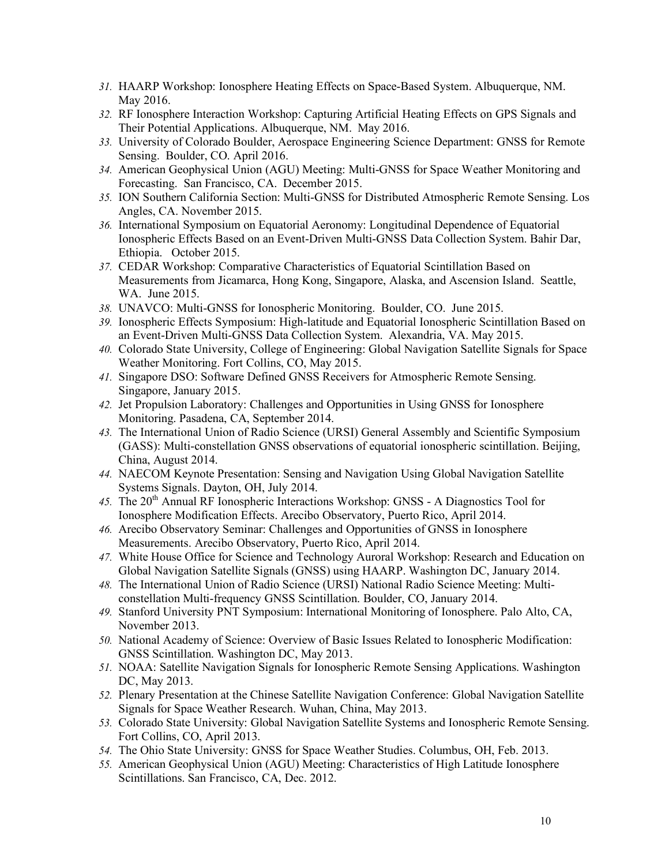- *31.* HAARP Workshop: Ionosphere Heating Effects on Space-Based System. Albuquerque, NM. May 2016.
- *32.* RF Ionosphere Interaction Workshop: Capturing Artificial Heating Effects on GPS Signals and Their Potential Applications. Albuquerque, NM. May 2016.
- *33.* University of Colorado Boulder, Aerospace Engineering Science Department: GNSS for Remote Sensing. Boulder, CO. April 2016.
- *34.* American Geophysical Union (AGU) Meeting: Multi-GNSS for Space Weather Monitoring and Forecasting. San Francisco, CA. December 2015.
- *35.* ION Southern California Section: Multi-GNSS for Distributed Atmospheric Remote Sensing. Los Angles, CA. November 2015.
- *36.* International Symposium on Equatorial Aeronomy: Longitudinal Dependence of Equatorial Ionospheric Effects Based on an Event-Driven Multi-GNSS Data Collection System. Bahir Dar, Ethiopia. October 2015.
- *37.* CEDAR Workshop: Comparative Characteristics of Equatorial Scintillation Based on Measurements from Jicamarca, Hong Kong, Singapore, Alaska, and Ascension Island. Seattle, WA. June 2015.
- *38.* UNAVCO: Multi-GNSS for Ionospheric Monitoring. Boulder, CO. June 2015.
- *39.* Ionospheric Effects Symposium: High-latitude and Equatorial Ionospheric Scintillation Based on an Event-Driven Multi-GNSS Data Collection System. Alexandria, VA. May 2015.
- *40.* Colorado State University, College of Engineering: Global Navigation Satellite Signals for Space Weather Monitoring. Fort Collins, CO, May 2015.
- *41.* Singapore DSO: Software Defined GNSS Receivers for Atmospheric Remote Sensing. Singapore, January 2015.
- *42.* Jet Propulsion Laboratory: Challenges and Opportunities in Using GNSS for Ionosphere Monitoring. Pasadena, CA, September 2014.
- *43.* The International Union of Radio Science (URSI) General Assembly and Scientific Symposium (GASS): Multi-constellation GNSS observations of equatorial ionospheric scintillation. Beijing, China, August 2014.
- *44.* NAECOM Keynote Presentation: Sensing and Navigation Using Global Navigation Satellite Systems Signals. Dayton, OH, July 2014.
- 45. The 20<sup>th</sup> Annual RF Ionospheric Interactions Workshop: GNSS A Diagnostics Tool for Ionosphere Modification Effects. Arecibo Observatory, Puerto Rico, April 2014.
- *46.* Arecibo Observatory Seminar: Challenges and Opportunities of GNSS in Ionosphere Measurements. Arecibo Observatory, Puerto Rico, April 2014.
- *47.* White House Office for Science and Technology Auroral Workshop: Research and Education on Global Navigation Satellite Signals (GNSS) using HAARP. Washington DC, January 2014.
- *48.* The International Union of Radio Science (URSI) National Radio Science Meeting: Multiconstellation Multi-frequency GNSS Scintillation. Boulder, CO, January 2014.
- *49.* Stanford University PNT Symposium: International Monitoring of Ionosphere. Palo Alto, CA, November 2013.
- *50.* National Academy of Science: Overview of Basic Issues Related to Ionospheric Modification: GNSS Scintillation. Washington DC, May 2013.
- *51.* NOAA: Satellite Navigation Signals for Ionospheric Remote Sensing Applications. Washington DC, May 2013.
- *52.* Plenary Presentation at the Chinese Satellite Navigation Conference: Global Navigation Satellite Signals for Space Weather Research. Wuhan, China, May 2013.
- *53.* Colorado State University: Global Navigation Satellite Systems and Ionospheric Remote Sensing. Fort Collins, CO, April 2013.
- *54.* The Ohio State University: GNSS for Space Weather Studies. Columbus, OH, Feb. 2013.
- *55.* American Geophysical Union (AGU) Meeting: Characteristics of High Latitude Ionosphere Scintillations. San Francisco, CA, Dec. 2012.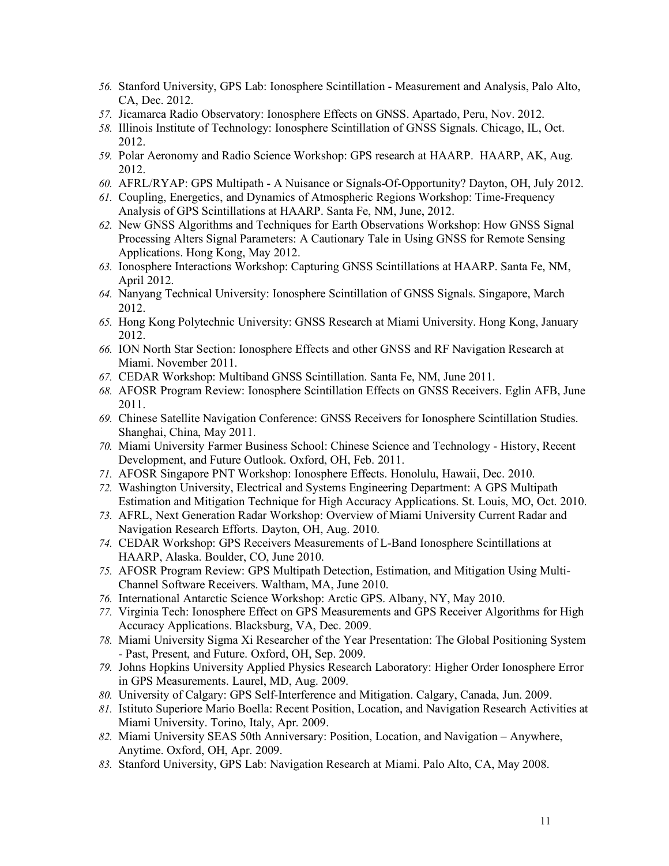- *56.* Stanford University, GPS Lab: Ionosphere Scintillation Measurement and Analysis, Palo Alto, CA, Dec. 2012.
- *57.* Jicamarca Radio Observatory: Ionosphere Effects on GNSS. Apartado, Peru, Nov. 2012.
- *58.* Illinois Institute of Technology: Ionosphere Scintillation of GNSS Signals. Chicago, IL, Oct. 2012.
- *59.* Polar Aeronomy and Radio Science Workshop: GPS research at HAARP. HAARP, AK, Aug. 2012.
- *60.* AFRL/RYAP: GPS Multipath A Nuisance or Signals-Of-Opportunity? Dayton, OH, July 2012.
- *61.* Coupling, Energetics, and Dynamics of Atmospheric Regions Workshop: Time-Frequency Analysis of GPS Scintillations at HAARP. Santa Fe, NM, June, 2012.
- *62.* New GNSS Algorithms and Techniques for Earth Observations Workshop: How GNSS Signal Processing Alters Signal Parameters: A Cautionary Tale in Using GNSS for Remote Sensing Applications. Hong Kong, May 2012.
- *63.* Ionosphere Interactions Workshop: Capturing GNSS Scintillations at HAARP. Santa Fe, NM, April 2012.
- *64.* Nanyang Technical University: Ionosphere Scintillation of GNSS Signals. Singapore, March 2012.
- *65.* Hong Kong Polytechnic University: GNSS Research at Miami University. Hong Kong, January 2012.
- *66.* ION North Star Section: Ionosphere Effects and other GNSS and RF Navigation Research at Miami. November 2011.
- *67.* CEDAR Workshop: Multiband GNSS Scintillation. Santa Fe, NM, June 2011.
- *68.* AFOSR Program Review: Ionosphere Scintillation Effects on GNSS Receivers. Eglin AFB, June 2011.
- *69.* Chinese Satellite Navigation Conference: GNSS Receivers for Ionosphere Scintillation Studies. Shanghai, China, May 2011.
- *70.* Miami University Farmer Business School: Chinese Science and Technology History, Recent Development, and Future Outlook. Oxford, OH, Feb. 2011.
- *71.* AFOSR Singapore PNT Workshop: Ionosphere Effects. Honolulu, Hawaii, Dec. 2010.
- *72.* Washington University, Electrical and Systems Engineering Department: A GPS Multipath Estimation and Mitigation Technique for High Accuracy Applications. St. Louis, MO, Oct. 2010.
- *73.* AFRL, Next Generation Radar Workshop: Overview of Miami University Current Radar and Navigation Research Efforts. Dayton, OH, Aug. 2010.
- *74.* CEDAR Workshop: GPS Receivers Measurements of L-Band Ionosphere Scintillations at HAARP, Alaska. Boulder, CO, June 2010.
- *75.* AFOSR Program Review: GPS Multipath Detection, Estimation, and Mitigation Using Multi-Channel Software Receivers. Waltham, MA, June 2010.
- *76.* International Antarctic Science Workshop: Arctic GPS. Albany, NY, May 2010.
- *77.* Virginia Tech: Ionosphere Effect on GPS Measurements and GPS Receiver Algorithms for High Accuracy Applications. Blacksburg, VA, Dec. 2009.
- *78.* Miami University Sigma Xi Researcher of the Year Presentation: The Global Positioning System - Past, Present, and Future. Oxford, OH, Sep. 2009.
- *79.* Johns Hopkins University Applied Physics Research Laboratory: Higher Order Ionosphere Error in GPS Measurements. Laurel, MD, Aug. 2009.
- *80.* University of Calgary: GPS Self-Interference and Mitigation. Calgary, Canada, Jun. 2009.
- *81.* Istituto Superiore Mario Boella: Recent Position, Location, and Navigation Research Activities at Miami University. Torino, Italy, Apr. 2009.
- *82.* Miami University SEAS 50th Anniversary: Position, Location, and Navigation Anywhere, Anytime. Oxford, OH, Apr. 2009.
- *83.* Stanford University, GPS Lab: Navigation Research at Miami. Palo Alto, CA, May 2008.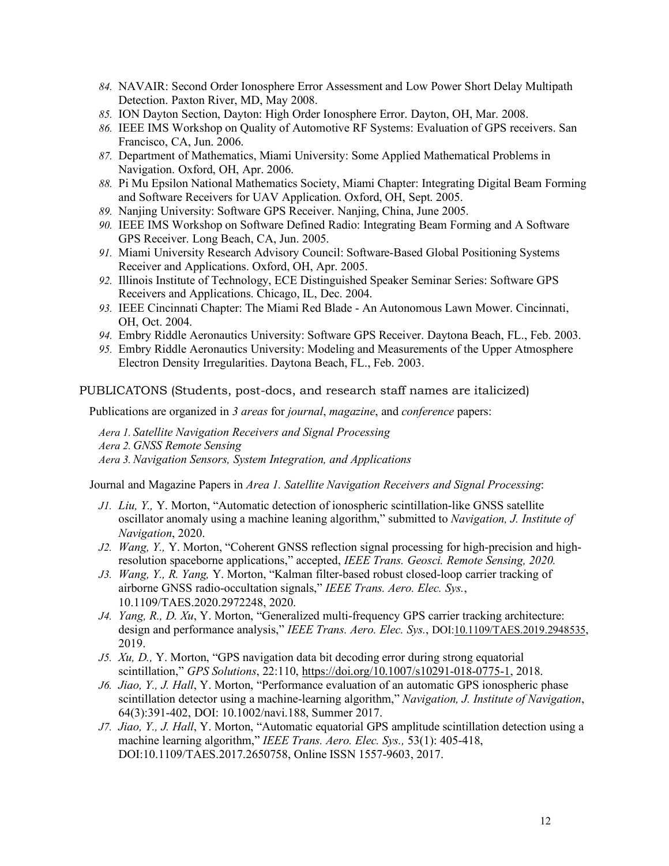- *84.* NAVAIR: Second Order Ionosphere Error Assessment and Low Power Short Delay Multipath Detection. Paxton River, MD, May 2008.
- *85.* ION Dayton Section, Dayton: High Order Ionosphere Error. Dayton, OH, Mar. 2008.
- *86.* IEEE IMS Workshop on Quality of Automotive RF Systems: Evaluation of GPS receivers. San Francisco, CA, Jun. 2006.
- *87.* Department of Mathematics, Miami University: Some Applied Mathematical Problems in Navigation. Oxford, OH, Apr. 2006.
- *88.* Pi Mu Epsilon National Mathematics Society, Miami Chapter: Integrating Digital Beam Forming and Software Receivers for UAV Application. Oxford, OH, Sept. 2005.
- *89.* Nanjing University: Software GPS Receiver. Nanjing, China, June 2005.
- *90.* IEEE IMS Workshop on Software Defined Radio: Integrating Beam Forming and A Software GPS Receiver. Long Beach, CA, Jun. 2005.
- *91.* Miami University Research Advisory Council: Software-Based Global Positioning Systems Receiver and Applications. Oxford, OH, Apr. 2005.
- *92.* Illinois Institute of Technology, ECE Distinguished Speaker Seminar Series: Software GPS Receivers and Applications. Chicago, IL, Dec. 2004.
- *93.* IEEE Cincinnati Chapter: The Miami Red Blade An Autonomous Lawn Mower. Cincinnati, OH, Oct. 2004.
- *94.* Embry Riddle Aeronautics University: Software GPS Receiver. Daytona Beach, FL., Feb. 2003.
- *95.* Embry Riddle Aeronautics University: Modeling and Measurements of the Upper Atmosphere Electron Density Irregularities. Daytona Beach, FL., Feb. 2003.

PUBLICATONS (Students, post-docs, and research staff names are italicized)

Publications are organized in *3 areas* for *journal*, *magazine*, and *conference* papers:

*Aera 1. Satellite Navigation Receivers and Signal Processing Aera 2. GNSS Remote Sensing Aera 3.Navigation Sensors, System Integration, and Applications*

Journal and Magazine Papers in *Area 1. Satellite Navigation Receivers and Signal Processing*:

- *J1. Liu, Y.,* Y. Morton, "Automatic detection of ionospheric scintillation-like GNSS satellite oscillator anomaly using a machine leaning algorithm," submitted to *Navigation, J. Institute of Navigation*, 2020.
- *J2. Wang, Y.,* Y. Morton, "Coherent GNSS reflection signal processing for high-precision and highresolution spaceborne applications," accepted, *IEEE Trans. Geosci. Remote Sensing, 2020.*
- *J3. Wang, Y., R. Yang,* Y. Morton, "Kalman filter-based robust closed-loop carrier tracking of airborne GNSS radio-occultation signals," *IEEE Trans. Aero. Elec. Sys.*, 10.1109/TAES.2020.2972248, 2020.
- *J4. Yang, R., D. Xu*, Y. Morton, "Generalized multi-frequency GPS carrier tracking architecture: design and performance analysis," *IEEE Trans. Aero. Elec. Sys.*, DOI:10.1109/TAES.2019.2948535, 2019.
- *J5. Xu, D.,* Y. Morton, "GPS navigation data bit decoding error during strong equatorial scintillation," *GPS Solutions*, 22:110, https://doi.org/10.1007/s10291-018-0775-1, 2018.
- *J6. Jiao, Y., J. Hall*, Y. Morton, "Performance evaluation of an automatic GPS ionospheric phase scintillation detector using a machine-learning algorithm," *Navigation, J. Institute of Navigation*, 64(3):391-402, DOI: 10.1002/navi.188, Summer 2017.
- *J7. Jiao, Y., J. Hall*, Y. Morton, "Automatic equatorial GPS amplitude scintillation detection using a machine learning algorithm," *IEEE Trans. Aero. Elec. Sys.,* 53(1): 405-418, DOI:10.1109/TAES.2017.2650758, Online ISSN 1557-9603, 2017.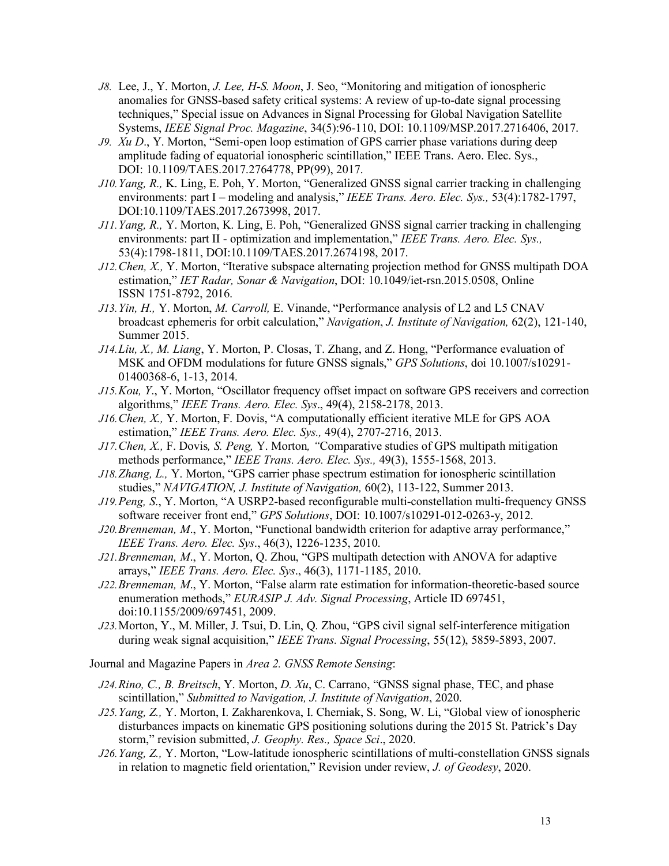- *J8.* Lee, J., Y. Morton, *J. Lee, H-S. Moon*, J. Seo, "Monitoring and mitigation of ionospheric anomalies for GNSS-based safety critical systems: A review of up-to-date signal processing techniques," Special issue on Advances in Signal Processing for Global Navigation Satellite Systems, *IEEE Signal Proc. Magazine*, 34(5):96-110, DOI: 10.1109/MSP.2017.2716406, 2017.
- *J9. Xu D*., Y. Morton, "Semi-open loop estimation of GPS carrier phase variations during deep amplitude fading of equatorial ionospheric scintillation," IEEE Trans. Aero. Elec. Sys., DOI: 10.1109/TAES.2017.2764778, PP(99), 2017.
- *J10.Yang, R.,* K. Ling, E. Poh, Y. Morton, "Generalized GNSS signal carrier tracking in challenging environments: part I – modeling and analysis," *IEEE Trans. Aero. Elec. Sys.,* 53(4):1782-1797, DOI:10.1109/TAES.2017.2673998, 2017.
- *J11.Yang, R.,* Y. Morton, K. Ling, E. Poh, "Generalized GNSS signal carrier tracking in challenging environments: part II - optimization and implementation," *IEEE Trans. Aero. Elec. Sys.,* 53(4):1798-1811, DOI:10.1109/TAES.2017.2674198, 2017.
- *J12.Chen, X.,* Y. Morton, "Iterative subspace alternating projection method for GNSS multipath DOA estimation," *IET Radar, Sonar & Navigation*, DOI: 10.1049/iet-rsn.2015.0508, Online ISSN 1751-8792, 2016.
- *J13.Yin, H.,* Y. Morton, *M. Carroll,* E. Vinande, "Performance analysis of L2 and L5 CNAV broadcast ephemeris for orbit calculation," *Navigation*, *J. Institute of Navigation,* 62(2), 121-140, Summer 2015.
- *J14.Liu, X., M. Liang*, Y. Morton, P. Closas, T. Zhang, and Z. Hong, "Performance evaluation of MSK and OFDM modulations for future GNSS signals," *GPS Solutions*, doi 10.1007/s10291- 01400368-6, 1-13, 2014.
- *J15.Kou, Y*., Y. Morton, "Oscillator frequency offset impact on software GPS receivers and correction algorithms," *IEEE Trans. Aero. Elec. Sys*., 49(4), 2158-2178, 2013.
- *J16.Chen, X.,* Y. Morton, F. Dovis, "A computationally efficient iterative MLE for GPS AOA estimation," *IEEE Trans. Aero. Elec. Sys.,* 49(4), 2707-2716, 2013.
- *J17.Chen, X.,* F. Dovis*, S. Peng,* Y. Morton*, "*Comparative studies of GPS multipath mitigation methods performance," *IEEE Trans. Aero. Elec. Sys.,* 49(3), 1555-1568, 2013.
- *J18.Zhang, L.,* Y. Morton, "GPS carrier phase spectrum estimation for ionospheric scintillation studies," *NAVIGATION, J. Institute of Navigation,* 60(2), 113-122, Summer 2013.
- *J19.Peng, S*., Y. Morton, "A USRP2-based reconfigurable multi-constellation multi-frequency GNSS software receiver front end," *GPS Solutions*, DOI: 10.1007/s10291-012-0263-y, 2012.
- *J20.Brenneman, M*., Y. Morton, "Functional bandwidth criterion for adaptive array performance," *IEEE Trans. Aero. Elec. Sys*., 46(3), 1226-1235, 2010.
- *J21.Brenneman, M*., Y. Morton, Q. Zhou, "GPS multipath detection with ANOVA for adaptive arrays," *IEEE Trans. Aero. Elec. Sys*., 46(3), 1171-1185, 2010.
- *J22.Brenneman, M*., Y. Morton, "False alarm rate estimation for information-theoretic-based source enumeration methods," *EURASIP J. Adv. Signal Processing*, Article ID 697451, doi:10.1155/2009/697451, 2009.
- *J23.*Morton, Y., M. Miller, J. Tsui, D. Lin, Q. Zhou, "GPS civil signal self-interference mitigation during weak signal acquisition," *IEEE Trans. Signal Processing*, 55(12), 5859-5893, 2007.

Journal and Magazine Papers in *Area 2. GNSS Remote Sensing*:

- *J24.Rino, C., B. Breitsch*, Y. Morton, *D. Xu*, C. Carrano, "GNSS signal phase, TEC, and phase scintillation," *Submitted to Navigation, J. Institute of Navigation*, 2020.
- *J25.Yang, Z.,* Y. Morton, I. Zakharenkova, I. Cherniak, S. Song, W. Li, "Global view of ionospheric disturbances impacts on kinematic GPS positioning solutions during the 2015 St. Patrick's Day storm," revision submitted, *J. Geophy. Res., Space Sci*., 2020.
- *J26.Yang, Z.,* Y. Morton, "Low-latitude ionospheric scintillations of multi-constellation GNSS signals in relation to magnetic field orientation," Revision under review, *J. of Geodesy*, 2020.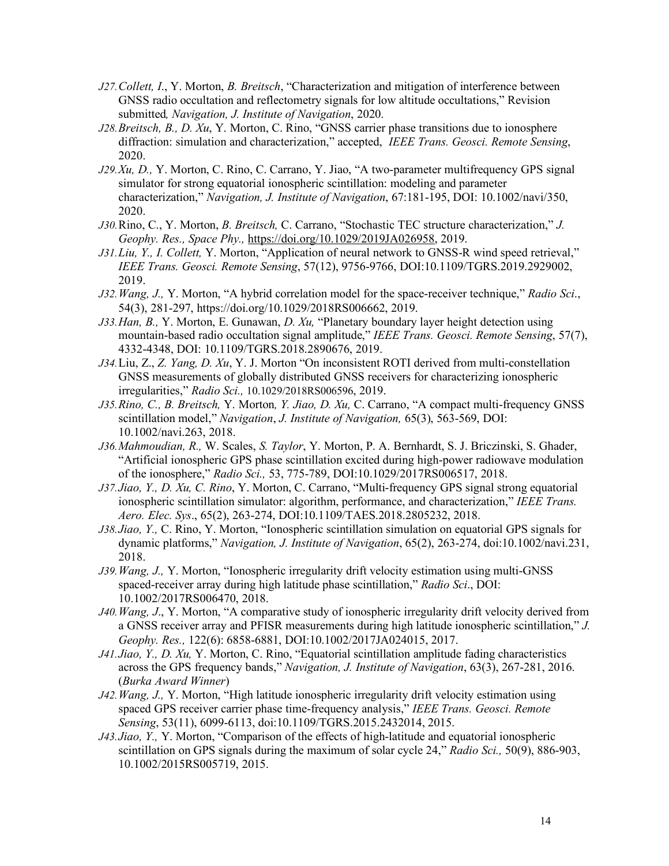- *J27.Collett, I*., Y. Morton, *B. Breitsch*, "Characterization and mitigation of interference between GNSS radio occultation and reflectometry signals for low altitude occultations," Revision submitted*, Navigation, J. Institute of Navigation*, 2020.
- *J28.Breitsch, B., D. Xu*, Y. Morton, C. Rino, "GNSS carrier phase transitions due to ionosphere diffraction: simulation and characterization," accepted, *IEEE Trans. Geosci. Remote Sensing*, 2020.
- *J29.Xu, D.,* Y. Morton, C. Rino, C. Carrano, Y. Jiao, "A two-parameter multifrequency GPS signal simulator for strong equatorial ionospheric scintillation: modeling and parameter characterization," *Navigation, J. Institute of Navigation*, 67:181-195, DOI: 10.1002/navi/350, 2020.
- *J30.*Rino, C., Y. Morton, *B. Breitsch,* C. Carrano, "Stochastic TEC structure characterization," *J. Geophy. Res., Space Phy.,* https://doi.org/10.1029/2019JA026958, 2019.
- *J31.Liu, Y., I. Collett,* Y. Morton, "Application of neural network to GNSS-R wind speed retrieval," *IEEE Trans. Geosci. Remote Sensing*, 57(12), 9756-9766, DOI:10.1109/TGRS.2019.2929002, 2019.
- *J32.Wang, J.,* Y. Morton, "A hybrid correlation model for the space-receiver technique," *Radio Sci*., 54(3), 281-297, https://doi.org/10.1029/2018RS006662, 2019.
- *J33.Han, B.,* Y. Morton, E. Gunawan, *D. Xu,* "Planetary boundary layer height detection using mountain-based radio occultation signal amplitude," *IEEE Trans. Geosci. Remote Sensing*, 57(7), 4332-4348, DOI: 10.1109/TGRS.2018.2890676, 2019.
- *J34.*Liu, Z., *Z. Yang, D. Xu*, Y. J. Morton "On inconsistent ROTI derived from multi-constellation GNSS measurements of globally distributed GNSS receivers for characterizing ionospheric irregularities," *Radio Sci.,* 10.1029/2018RS006596, 2019.
- *J35.Rino, C., B. Breitsch,* Y. Morton*, Y. Jiao, D. Xu,* C. Carrano, "A compact multi-frequency GNSS scintillation model," *Navigation*, *J. Institute of Navigation,* 65(3), 563-569, DOI: 10.1002/navi.263, 2018.
- *J36.Mahmoudian, R.,* W. Scales, *S. Taylor*, Y. Morton, P. A. Bernhardt, S. J. Briczinski, S. Ghader, "Artificial ionospheric GPS phase scintillation excited during high-power radiowave modulation of the ionosphere," *Radio Sci.,* 53, 775-789, DOI:10.1029/2017RS006517, 2018.
- *J37.Jiao, Y., D. Xu, C. Rino*, Y. Morton, C. Carrano, "Multi-frequency GPS signal strong equatorial ionospheric scintillation simulator: algorithm, performance, and characterization," *IEEE Trans. Aero. Elec. Sys*., 65(2), 263-274, DOI:10.1109/TAES.2018.2805232, 2018.
- *J38.Jiao, Y.,* C. Rino, Y. Morton, "Ionospheric scintillation simulation on equatorial GPS signals for dynamic platforms," *Navigation, J. Institute of Navigation*, 65(2), 263-274, doi:10.1002/navi.231, 2018.
- *J39.Wang, J.,* Y. Morton, "Ionospheric irregularity drift velocity estimation using multi-GNSS spaced-receiver array during high latitude phase scintillation," *Radio Sci*., DOI: 10.1002/2017RS006470, 2018.
- *J40.Wang, J*., Y. Morton, "A comparative study of ionospheric irregularity drift velocity derived from a GNSS receiver array and PFISR measurements during high latitude ionospheric scintillation," *J. Geophy. Res.,* 122(6): 6858-6881, DOI:10.1002/2017JA024015, 2017.
- *J41.Jiao, Y., D. Xu,* Y. Morton, C. Rino, "Equatorial scintillation amplitude fading characteristics across the GPS frequency bands," *Navigation, J. Institute of Navigation*, 63(3), 267-281, 2016. (*Burka Award Winner*)
- *J42.Wang, J.,* Y. Morton, "High latitude ionospheric irregularity drift velocity estimation using spaced GPS receiver carrier phase time-frequency analysis," *IEEE Trans. Geosci. Remote Sensing*, 53(11), 6099-6113, doi:10.1109/TGRS.2015.2432014, 2015.
- *J43.Jiao, Y.,* Y. Morton, "Comparison of the effects of high-latitude and equatorial ionospheric scintillation on GPS signals during the maximum of solar cycle 24," *Radio Sci.,* 50(9), 886-903, 10.1002/2015RS005719, 2015.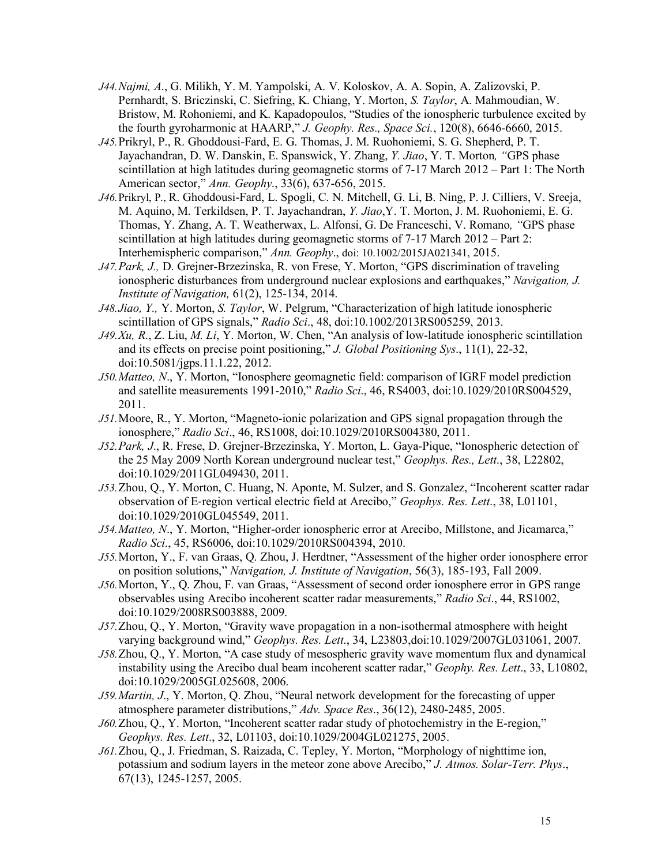- *J44.Najmi, A*., G. Milikh, Y. M. Yampolski, A. V. Koloskov, A. A. Sopin, A. Zalizovski, P. Pernhardt, S. Briczinski, C. Siefring, K. Chiang, Y. Morton, *S. Taylor*, A. Mahmoudian, W. Bristow, M. Rohoniemi, and K. Kapadopoulos, "Studies of the ionospheric turbulence excited by the fourth gyroharmonic at HAARP," *J. Geophy. Res., Space Sci.*, 120(8), 6646-6660, 2015.
- *J45.*Prikryl, P., R. Ghoddousi-Fard, E. G. Thomas, J. M. Ruohoniemi, S. G. Shepherd, P. T. Jayachandran, D. W. Danskin, E. Spanswick, Y. Zhang, *Y. Jiao*, Y. T. Morton*, "*GPS phase scintillation at high latitudes during geomagnetic storms of 7-17 March 2012 – Part 1: The North American sector," *Ann. Geophy*., 33(6), 637-656, 2015.
- *J46.*Prikryl, P., R. Ghoddousi-Fard, L. Spogli, C. N. Mitchell, G. Li, B. Ning, P. J. Cilliers, V. Sreeja, M. Aquino, M. Terkildsen, P. T. Jayachandran, *Y. Jiao*,Y. T. Morton, J. M. Ruohoniemi, E. G. Thomas, Y. Zhang, A. T. Weatherwax, L. Alfonsi, G. De Franceschi, V. Romano*, "*GPS phase scintillation at high latitudes during geomagnetic storms of 7-17 March 2012 – Part 2: Interhemispheric comparison," *Ann. Geophy*., doi: 10.1002/2015JA021341, 2015.
- *J47.Park, J.,* D. Grejner-Brzezinska, R. von Frese, Y. Morton, "GPS discrimination of traveling ionospheric disturbances from underground nuclear explosions and earthquakes," *Navigation, J. Institute of Navigation,* 61(2), 125-134, 2014.
- *J48.Jiao, Y.,* Y. Morton, *S. Taylor*, W. Pelgrum, "Characterization of high latitude ionospheric scintillation of GPS signals," *Radio Sci*., 48, doi:10.1002/2013RS005259, 2013.
- *J49.Xu, R*., Z. Liu, *M. Li*, Y. Morton, W. Chen, "An analysis of low-latitude ionospheric scintillation and its effects on precise point positioning," *J. Global Positioning Sys*., 11(1), 22-32, doi:10.5081/jgps.11.1.22, 2012.
- *J50.Matteo, N*., Y. Morton, "Ionosphere geomagnetic field: comparison of IGRF model prediction and satellite measurements 1991-2010," *Radio Sci*., 46, RS4003, doi:10.1029/2010RS004529, 2011.
- *J51.*Moore, R., Y. Morton, "Magneto-ionic polarization and GPS signal propagation through the ionosphere," *Radio Sci*., 46, RS1008, doi:10.1029/2010RS004380, 2011.
- *J52.Park, J*., R. Frese, D. Grejner-Brzezinska, Y. Morton, L. Gaya-Pique, "Ionospheric detection of the 25 May 2009 North Korean underground nuclear test," *Geophys. Res., Lett*., 38, L22802, doi:10.1029/2011GL049430, 2011.
- *J53.*Zhou, Q., Y. Morton, C. Huang, N. Aponte, M. Sulzer, and S. Gonzalez, "Incoherent scatter radar observation of E-region vertical electric field at Arecibo," *Geophys. Res. Lett*., 38, L01101, doi:10.1029/2010GL045549, 2011.
- *J54.Matteo, N*., Y. Morton, "Higher-order ionospheric error at Arecibo, Millstone, and Jicamarca," *Radio Sci*., 45, RS6006, doi:10.1029/2010RS004394, 2010.
- *J55.*Morton, Y., F. van Graas, Q. Zhou, J. Herdtner, "Assessment of the higher order ionosphere error on position solutions," *Navigation, J. Institute of Navigation*, 56(3), 185-193, Fall 2009.
- *J56.*Morton, Y., Q. Zhou, F. van Graas, "Assessment of second order ionosphere error in GPS range observables using Arecibo incoherent scatter radar measurements," *Radio Sci*., 44, RS1002, doi:10.1029/2008RS003888, 2009.
- *J57.*Zhou, Q., Y. Morton, "Gravity wave propagation in a non-isothermal atmosphere with height varying background wind," *Geophys. Res. Lett*., 34, L23803,doi:10.1029/2007GL031061, 2007.
- *J58.*Zhou, Q., Y. Morton, "A case study of mesospheric gravity wave momentum flux and dynamical instability using the Arecibo dual beam incoherent scatter radar," *Geophy. Res. Lett*., 33, L10802, doi:10.1029/2005GL025608, 2006.
- *J59.Martin, J*., Y. Morton, Q. Zhou, "Neural network development for the forecasting of upper atmosphere parameter distributions," *Adv. Space Res*., 36(12), 2480-2485, 2005.
- *J60.*Zhou, Q., Y. Morton, "Incoherent scatter radar study of photochemistry in the E-region," *Geophys. Res. Lett*., 32, L01103, doi:10.1029/2004GL021275, 2005.
- *J61.*Zhou, Q., J. Friedman, S. Raizada, C. Tepley, Y. Morton, "Morphology of nighttime ion, potassium and sodium layers in the meteor zone above Arecibo," *J. Atmos. Solar-Terr. Phys*., 67(13), 1245-1257, 2005.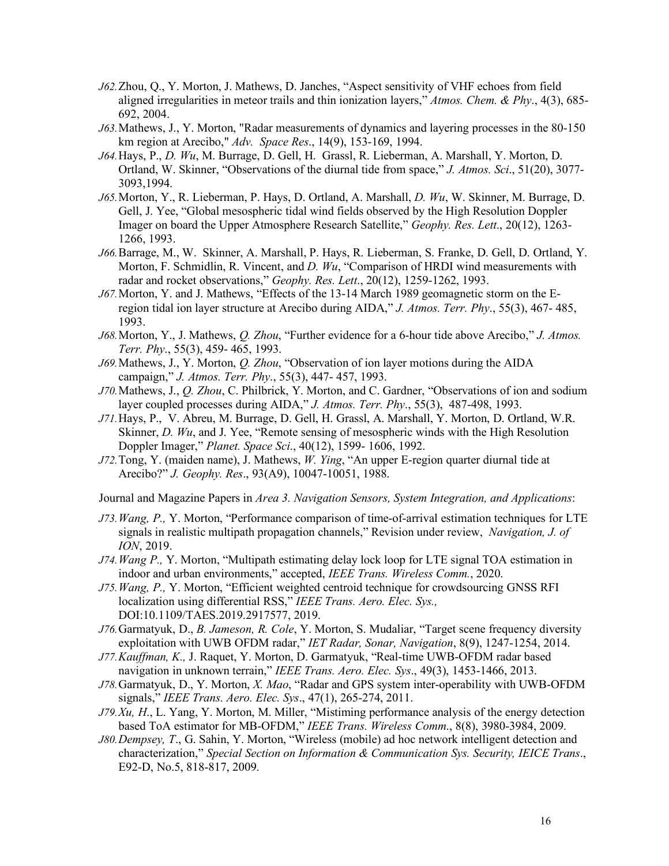- *J62.*Zhou, Q., Y. Morton, J. Mathews, D. Janches, "Aspect sensitivity of VHF echoes from field aligned irregularities in meteor trails and thin ionization layers," *Atmos. Chem. & Phy*., 4(3), 685- 692, 2004.
- *J63.*Mathews, J., Y. Morton, "Radar measurements of dynamics and layering processes in the 80-150 km region at Arecibo," *Adv. Space Res*., 14(9), 153-169, 1994.
- *J64.*Hays, P., *D. Wu*, M. Burrage, D. Gell, H. Grassl, R. Lieberman, A. Marshall, Y. Morton, D. Ortland, W. Skinner, "Observations of the diurnal tide from space," *J. Atmos. Sci*., 51(20), 3077- 3093,1994.
- *J65.*Morton, Y., R. Lieberman, P. Hays, D. Ortland, A. Marshall, *D. Wu*, W. Skinner, M. Burrage, D. Gell, J. Yee, "Global mesospheric tidal wind fields observed by the High Resolution Doppler Imager on board the Upper Atmosphere Research Satellite," *Geophy. Res. Lett*., 20(12), 1263- 1266, 1993.
- *J66.*Barrage, M., W. Skinner, A. Marshall, P. Hays, R. Lieberman, S. Franke, D. Gell, D. Ortland, Y. Morton, F. Schmidlin, R. Vincent, and *D. Wu*, "Comparison of HRDI wind measurements with radar and rocket observations," *Geophy. Res. Lett*., 20(12), 1259-1262, 1993.
- *J67.*Morton, Y. and J. Mathews, "Effects of the 13-14 March 1989 geomagnetic storm on the Eregion tidal ion layer structure at Arecibo during AIDA," *J. Atmos. Terr. Phy*., 55(3), 467- 485, 1993.
- *J68.*Morton, Y., J. Mathews, *Q. Zhou*, "Further evidence for a 6-hour tide above Arecibo," *J. Atmos. Terr. Phy*., 55(3), 459- 465, 1993.
- *J69.*Mathews, J., Y. Morton, *Q. Zhou*, "Observation of ion layer motions during the AIDA campaign," *J. Atmos. Terr. Phy*., 55(3), 447- 457, 1993.
- *J70.*Mathews, J., *Q. Zhou*, C. Philbrick, Y. Morton, and C. Gardner, "Observations of ion and sodium layer coupled processes during AIDA," *J. Atmos. Terr. Phy*., 55(3), 487-498, 1993.
- *J71.*Hays, P., V. Abreu, M. Burrage, D. Gell, H. Grassl, A. Marshall, Y. Morton, D. Ortland, W.R. Skinner, *D. Wu*, and J. Yee, "Remote sensing of mesospheric winds with the High Resolution Doppler Imager," *Planet. Space Sci*., 40(12), 1599- 1606, 1992.
- *J72.*Tong, Y. (maiden name), J. Mathews, *W. Ying*, "An upper E-region quarter diurnal tide at Arecibo?" *J. Geophy. Res*., 93(A9), 10047-10051, 1988.

Journal and Magazine Papers in *Area 3. Navigation Sensors, System Integration, and Applications*:

- *J73.Wang, P.,* Y. Morton, "Performance comparison of time-of-arrival estimation techniques for LTE signals in realistic multipath propagation channels," Revision under review, *Navigation, J. of ION*, 2019.
- *J74.Wang P.,* Y. Morton, "Multipath estimating delay lock loop for LTE signal TOA estimation in indoor and urban environments," accepted, *IEEE Trans. Wireless Comm.*, 2020.
- *J75.Wang, P.,* Y. Morton, "Efficient weighted centroid technique for crowdsourcing GNSS RFI localization using differential RSS," *IEEE Trans. Aero. Elec. Sys.,*  DOI:10.1109/TAES.2019.2917577, 2019.
- *J76.*Garmatyuk, D., *B. Jameson, R. Cole*, Y. Morton, S. Mudaliar, "Target scene frequency diversity exploitation with UWB OFDM radar," *IET Radar, Sonar, Navigation*, 8(9), 1247-1254, 2014.
- *J77.Kauffman, K.,* J. Raquet, Y. Morton, D. Garmatyuk, "Real-time UWB-OFDM radar based navigation in unknown terrain," *IEEE Trans. Aero. Elec. Sys*., 49(3), 1453-1466, 2013.
- *J78.*Garmatyuk, D., Y. Morton, *X. Mao*, "Radar and GPS system inter-operability with UWB-OFDM signals," *IEEE Trans. Aero. Elec. Sys*., 47(1), 265-274, 2011.
- *J79.Xu, H*., L. Yang, Y. Morton, M. Miller, "Mistiming performance analysis of the energy detection based ToA estimator for MB-OFDM," *IEEE Trans. Wireless Comm*., 8(8), 3980-3984, 2009.
- *J80.Dempsey, T*., G. Sahin, Y. Morton, "Wireless (mobile) ad hoc network intelligent detection and characterization," *Special Section on Information & Communication Sys. Security, IEICE Trans*., E92-D, No.5, 818-817, 2009.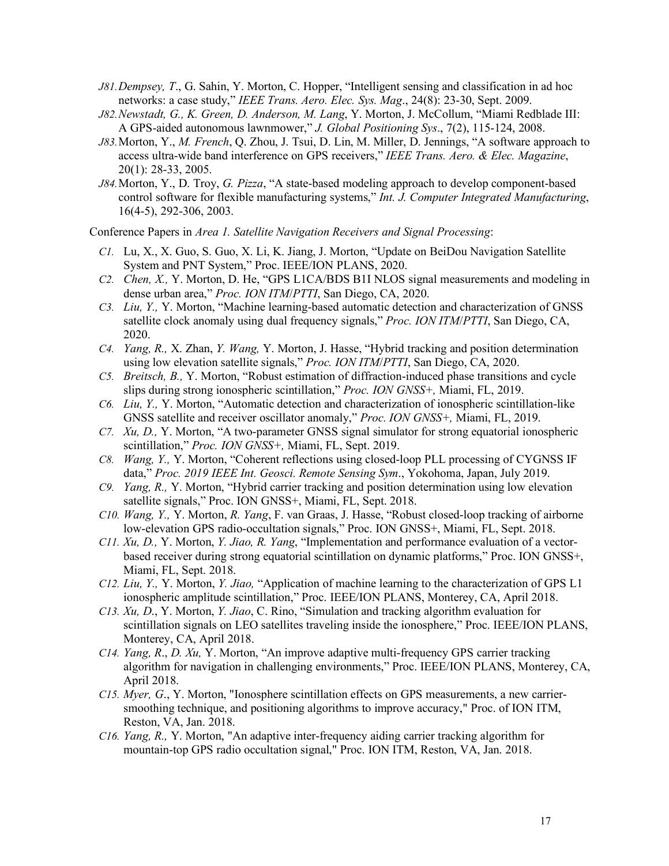- *J81.Dempsey, T*., G. Sahin, Y. Morton, C. Hopper, "Intelligent sensing and classification in ad hoc networks: a case study," *IEEE Trans. Aero. Elec. Sys. Mag*., 24(8): 23-30, Sept. 2009.
- *J82.Newstadt, G., K. Green, D. Anderson, M. Lang*, Y. Morton, J. McCollum, "Miami Redblade III: A GPS-aided autonomous lawnmower," *J. Global Positioning Sys*., 7(2), 115-124, 2008.
- *J83.*Morton, Y., *M. French*, Q. Zhou, J. Tsui, D. Lin, M. Miller, D. Jennings, "A software approach to access ultra-wide band interference on GPS receivers," *IEEE Trans. Aero. & Elec. Magazine*, 20(1): 28-33, 2005.
- *J84.*Morton, Y., D. Troy, *G. Pizza*, "A state-based modeling approach to develop component-based control software for flexible manufacturing systems," *Int. J. Computer Integrated Manufacturing*, 16(4-5), 292-306, 2003.

Conference Papers in *Area 1. Satellite Navigation Receivers and Signal Processing*:

- *C1.* Lu, X., X. Guo, S. Guo, X. Li, K. Jiang, J. Morton, "Update on BeiDou Navigation Satellite System and PNT System," Proc. IEEE/ION PLANS, 2020.
- *C2. Chen, X.,* Y. Morton, D. He, "GPS L1CA/BDS B1I NLOS signal measurements and modeling in dense urban area," *Proc. ION ITM*/*PTTI*, San Diego, CA, 2020.
- *C3. Liu, Y.,* Y. Morton, "Machine learning-based automatic detection and characterization of GNSS satellite clock anomaly using dual frequency signals," *Proc. ION ITM*/*PTTI*, San Diego, CA, 2020.
- *C4. Yang, R.,* X. Zhan, *Y. Wang,* Y. Morton, J. Hasse, "Hybrid tracking and position determination using low elevation satellite signals," *Proc. ION ITM*/*PTTI*, San Diego, CA, 2020.
- *C5. Breitsch, B.,* Y. Morton, "Robust estimation of diffraction-induced phase transitions and cycle slips during strong ionospheric scintillation," *Proc. ION GNSS+,* Miami, FL, 2019.
- *C6. Liu, Y.,* Y. Morton, "Automatic detection and characterization of ionospheric scintillation-like GNSS satellite and receiver oscillator anomaly," *Proc. ION GNSS+,* Miami, FL, 2019.
- *C7. Xu, D.,* Y. Morton, "A two-parameter GNSS signal simulator for strong equatorial ionospheric scintillation," *Proc. ION GNSS+,* Miami, FL, Sept. 2019.
- *C8. Wang, Y.,* Y. Morton, "Coherent reflections using closed-loop PLL processing of CYGNSS IF data," *Proc. 2019 IEEE Int. Geosci. Remote Sensing Sym*., Yokohoma, Japan, July 2019.
- *C9. Yang, R.,* Y. Morton, "Hybrid carrier tracking and position determination using low elevation satellite signals," Proc. ION GNSS+, Miami, FL, Sept. 2018.
- *C10. Wang, Y.,* Y. Morton, *R. Yang*, F. van Graas, J. Hasse, "Robust closed-loop tracking of airborne low-elevation GPS radio-occultation signals," Proc. ION GNSS+, Miami, FL, Sept. 2018.
- *C11. Xu, D.,* Y. Morton, *Y. Jiao, R. Yang*, "Implementation and performance evaluation of a vectorbased receiver during strong equatorial scintillation on dynamic platforms," Proc. ION GNSS+, Miami, FL, Sept. 2018.
- *C12. Liu, Y.,* Y. Morton, *Y. Jiao,* "Application of machine learning to the characterization of GPS L1 ionospheric amplitude scintillation," Proc. IEEE/ION PLANS, Monterey, CA, April 2018.
- *C13. Xu, D*., Y. Morton, *Y. Jiao*, C. Rino, "Simulation and tracking algorithm evaluation for scintillation signals on LEO satellites traveling inside the ionosphere," Proc. IEEE/ION PLANS, Monterey, CA, April 2018.
- *C14. Yang, R*., *D. Xu,* Y. Morton, "An improve adaptive multi-frequency GPS carrier tracking algorithm for navigation in challenging environments," Proc. IEEE/ION PLANS, Monterey, CA, April 2018.
- *C15. Myer, G*., Y. Morton, "Ionosphere scintillation effects on GPS measurements, a new carriersmoothing technique, and positioning algorithms to improve accuracy," Proc. of ION ITM, Reston, VA, Jan. 2018.
- *C16. Yang, R.,* Y. Morton, "An adaptive inter-frequency aiding carrier tracking algorithm for mountain-top GPS radio occultation signal," Proc. ION ITM, Reston, VA, Jan. 2018.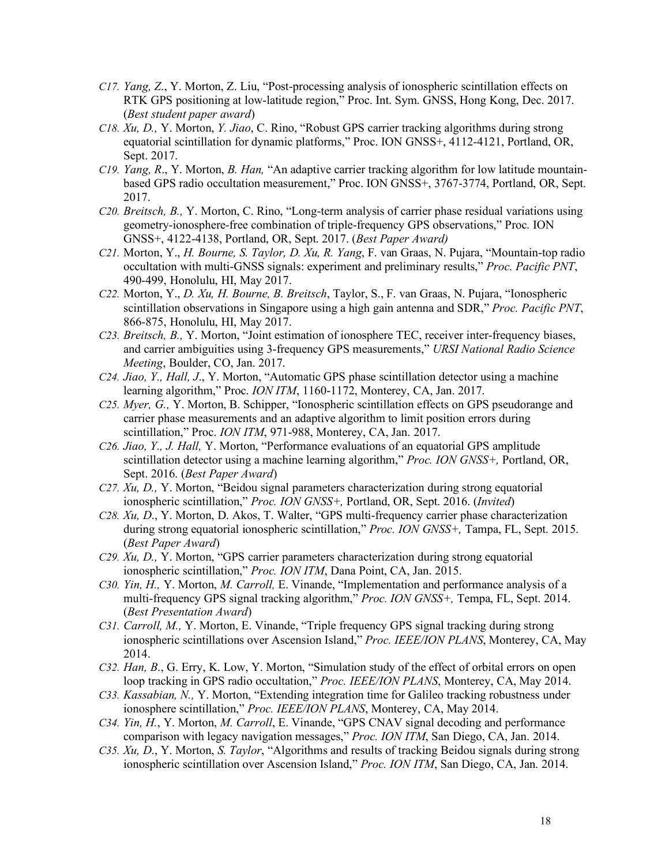- *C17. Yang, Z*., Y. Morton, Z. Liu, "Post-processing analysis of ionospheric scintillation effects on RTK GPS positioning at low-latitude region," Proc. Int. Sym. GNSS, Hong Kong, Dec. 2017. (*Best student paper award*)
- *C18. Xu, D.,* Y. Morton, *Y. Jiao*, C. Rino, "Robust GPS carrier tracking algorithms during strong equatorial scintillation for dynamic platforms," Proc. ION GNSS+, 4112-4121, Portland, OR, Sept. 2017.
- *C19. Yang, R*., Y. Morton, *B. Han,* "An adaptive carrier tracking algorithm for low latitude mountainbased GPS radio occultation measurement," Proc. ION GNSS+, 3767-3774, Portland, OR, Sept. 2017.
- *C20. Breitsch, B.,* Y. Morton, C. Rino, "Long-term analysis of carrier phase residual variations using geometry-ionosphere-free combination of triple-frequency GPS observations," Proc. ION GNSS+, 4122-4138, Portland, OR, Sept. 2017. (*Best Paper Award)*
- *C21.* Morton, Y., *H. Bourne, S. Taylor, D. Xu, R. Yang*, F. van Graas, N. Pujara, "Mountain-top radio occultation with multi-GNSS signals: experiment and preliminary results," *Proc. Pacific PNT*, 490-499, Honolulu, HI, May 2017.
- *C22.* Morton, Y., *D. Xu, H. Bourne, B. Breitsch*, Taylor, S., F. van Graas, N. Pujara, "Ionospheric scintillation observations in Singapore using a high gain antenna and SDR," *Proc. Pacific PNT*, 866-875, Honolulu, HI, May 2017.
- *C23. Breitsch, B.,* Y. Morton, "Joint estimation of ionosphere TEC, receiver inter-frequency biases, and carrier ambiguities using 3-frequency GPS measurements," *URSI National Radio Science Meeting*, Boulder, CO, Jan. 2017.
- *C24. Jiao, Y., Hall, J*., Y. Morton, "Automatic GPS phase scintillation detector using a machine learning algorithm," Proc. *ION ITM*, 1160-1172, Monterey, CA, Jan. 2017.
- *C25. Myer, G.,* Y. Morton, B. Schipper, "Ionospheric scintillation effects on GPS pseudorange and carrier phase measurements and an adaptive algorithm to limit position errors during scintillation," Proc. *ION ITM*, 971-988, Monterey, CA, Jan. 2017.
- *C26. Jiao, Y., J. Hall,* Y. Morton, "Performance evaluations of an equatorial GPS amplitude scintillation detector using a machine learning algorithm," *Proc. ION GNSS+,* Portland, OR, Sept. 2016. (*Best Paper Award*)
- *C27. Xu, D.,* Y. Morton, "Beidou signal parameters characterization during strong equatorial ionospheric scintillation," *Proc. ION GNSS+,* Portland, OR, Sept. 2016. (*Invited*)
- *C28. Xu, D*., Y. Morton, D. Akos, T. Walter, "GPS multi-frequency carrier phase characterization during strong equatorial ionospheric scintillation," *Proc. ION GNSS+,* Tampa, FL, Sept. 2015. (*Best Paper Award*)
- *C29. Xu, D.,* Y. Morton, "GPS carrier parameters characterization during strong equatorial ionospheric scintillation," *Proc. ION ITM*, Dana Point, CA, Jan. 2015.
- *C30. Yin, H.,* Y. Morton, *M. Carroll,* E. Vinande, "Implementation and performance analysis of a multi-frequency GPS signal tracking algorithm," *Proc. ION GNSS+,* Tempa, FL, Sept. 2014. (*Best Presentation Award*)
- *C31. Carroll, M.,* Y. Morton, E. Vinande, "Triple frequency GPS signal tracking during strong ionospheric scintillations over Ascension Island," *Proc. IEEE/ION PLANS*, Monterey, CA, May 2014.
- *C32. Han, B*., G. Erry, K. Low, Y. Morton, "Simulation study of the effect of orbital errors on open loop tracking in GPS radio occultation," *Proc. IEEE/ION PLANS*, Monterey, CA, May 2014.
- *C33. Kassabian, N.,* Y. Morton, "Extending integration time for Galileo tracking robustness under ionosphere scintillation," *Proc. IEEE/ION PLANS*, Monterey, CA, May 2014.
- *C34. Yin, H.*, Y. Morton, *M. Carroll*, E. Vinande, "GPS CNAV signal decoding and performance comparison with legacy navigation messages," *Proc. ION ITM*, San Diego, CA, Jan. 2014.
- *C35. Xu, D*., Y. Morton, *S. Taylor*, "Algorithms and results of tracking Beidou signals during strong ionospheric scintillation over Ascension Island," *Proc. ION ITM*, San Diego, CA, Jan. 2014.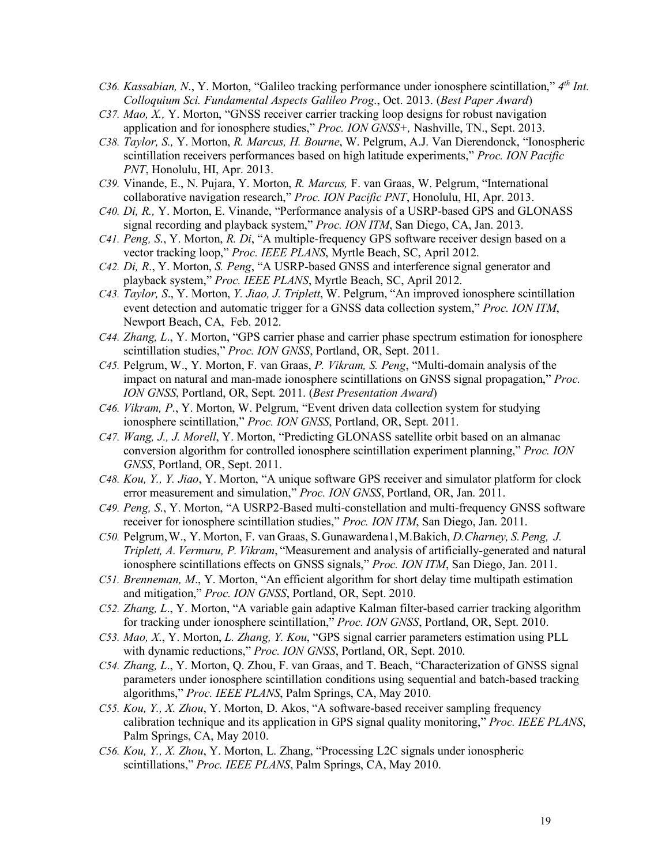- *C36. Kassabian, N*., Y. Morton, "Galileo tracking performance under ionosphere scintillation," *4th Int. Colloquium Sci. Fundamental Aspects Galileo Prog*., Oct. 2013. (*Best Paper Award*)
- *C37. Mao, X.,* Y. Morton, "GNSS receiver carrier tracking loop designs for robust navigation application and for ionosphere studies," *Proc. ION GNSS+,* Nashville, TN., Sept. 2013.
- *C38. Taylor, S.,* Y. Morton, *R. Marcus, H. Bourne*, W. Pelgrum, A.J. Van Dierendonck, "Ionospheric scintillation receivers performances based on high latitude experiments," *Proc. ION Pacific PNT*, Honolulu, HI, Apr. 2013.
- *C39.* Vinande, E., N. Pujara, Y. Morton, *R. Marcus,* F. van Graas, W. Pelgrum, "International collaborative navigation research," *Proc. ION Pacific PNT*, Honolulu, HI, Apr. 2013.
- *C40. Di, R.,* Y. Morton, E. Vinande, "Performance analysis of a USRP-based GPS and GLONASS signal recording and playback system," *Proc. ION ITM*, San Diego, CA, Jan. 2013.
- *C41. Peng, S*., Y. Morton, *R. Di*, "A multiple-frequency GPS software receiver design based on a vector tracking loop," *Proc. IEEE PLANS*, Myrtle Beach, SC, April 2012.
- *C42. Di, R*., Y. Morton, *S. Peng*, "A USRP-based GNSS and interference signal generator and playback system," *Proc. IEEE PLANS*, Myrtle Beach, SC, April 2012.
- *C43. Taylor, S*., Y. Morton, *Y. Jiao, J. Triplett*, W. Pelgrum, "An improved ionosphere scintillation event detection and automatic trigger for a GNSS data collection system," *Proc. ION ITM*, Newport Beach, CA, Feb. 2012.
- *C44. Zhang, L*., Y. Morton, "GPS carrier phase and carrier phase spectrum estimation for ionosphere scintillation studies," *Proc. ION GNSS*, Portland, OR, Sept. 2011.
- *C45.* Pelgrum, W., Y. Morton, F. van Graas, *P. Vikram, S. Peng*, "Multi-domain analysis of the impact on natural and man-made ionosphere scintillations on GNSS signal propagation," *Proc. ION GNSS*, Portland, OR, Sept. 2011. (*Best Presentation Award*)
- *C46. Vikram, P*., Y. Morton, W. Pelgrum, "Event driven data collection system for studying ionosphere scintillation," *Proc. ION GNSS*, Portland, OR, Sept. 2011.
- *C47. Wang, J., J. Morell*, Y. Morton, "Predicting GLONASS satellite orbit based on an almanac conversion algorithm for controlled ionosphere scintillation experiment planning," *Proc. ION GNSS*, Portland, OR, Sept. 2011.
- *C48. Kou, Y., Y. Jiao*, Y. Morton, "A unique software GPS receiver and simulator platform for clock error measurement and simulation," *Proc. ION GNSS*, Portland, OR, Jan. 2011.
- *C49. Peng, S*., Y. Morton, "A USRP2-Based multi-constellation and multi-frequency GNSS software receiver for ionosphere scintillation studies," *Proc. ION ITM*, San Diego, Jan. 2011.
- *C50.* Pelgrum,W., Y. Morton, F. van Graas, S.Gunawardena1,M.Bakich, *D.Charney, S.Peng, J. Triplett, A. Vermuru, P. Vikram*, "Measurement and analysis of artificially-generated and natural ionosphere scintillations effects on GNSS signals," *Proc. ION ITM*, San Diego, Jan. 2011.
- *C51. Brenneman, M*., Y. Morton, "An efficient algorithm for short delay time multipath estimation and mitigation," *Proc. ION GNSS*, Portland, OR, Sept. 2010.
- *C52. Zhang, L*., Y. Morton, "A variable gain adaptive Kalman filter-based carrier tracking algorithm for tracking under ionosphere scintillation," *Proc. ION GNSS*, Portland, OR, Sept. 2010.
- *C53. Mao, X*., Y. Morton, *L. Zhang, Y. Kou*, "GPS signal carrier parameters estimation using PLL with dynamic reductions," *Proc. ION GNSS*, Portland, OR, Sept. 2010.
- *C54. Zhang, L*., Y. Morton, Q. Zhou, F. van Graas, and T. Beach, "Characterization of GNSS signal parameters under ionosphere scintillation conditions using sequential and batch-based tracking algorithms," *Proc. IEEE PLANS*, Palm Springs, CA, May 2010.
- *C55. Kou, Y., X. Zhou*, Y. Morton, D. Akos, "A software-based receiver sampling frequency calibration technique and its application in GPS signal quality monitoring," *Proc. IEEE PLANS*, Palm Springs, CA, May 2010.
- *C56. Kou, Y., X. Zhou*, Y. Morton, L. Zhang, "Processing L2C signals under ionospheric scintillations," *Proc. IEEE PLANS*, Palm Springs, CA, May 2010.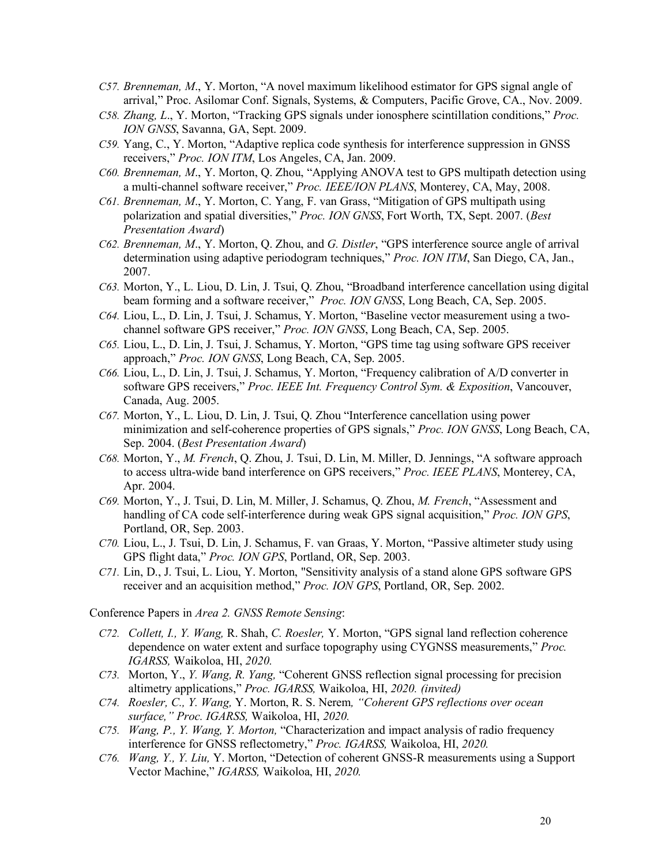- *C57. Brenneman, M*., Y. Morton, "A novel maximum likelihood estimator for GPS signal angle of arrival," Proc. Asilomar Conf. Signals, Systems, & Computers, Pacific Grove, CA., Nov. 2009.
- *C58. Zhang, L*., Y. Morton, "Tracking GPS signals under ionosphere scintillation conditions," *Proc. ION GNSS*, Savanna, GA, Sept. 2009.
- *C59.* Yang, C., Y. Morton, "Adaptive replica code synthesis for interference suppression in GNSS receivers," *Proc. ION ITM*, Los Angeles, CA, Jan. 2009.
- *C60. Brenneman, M*., Y. Morton, Q. Zhou, "Applying ANOVA test to GPS multipath detection using a multi-channel software receiver," *Proc. IEEE/ION PLANS*, Monterey, CA, May, 2008.
- *C61. Brenneman, M*., Y. Morton, C. Yang, F. van Grass, "Mitigation of GPS multipath using polarization and spatial diversities," *Proc. ION GNSS*, Fort Worth, TX, Sept. 2007. (*Best Presentation Award*)
- *C62. Brenneman, M*., Y. Morton, Q. Zhou, and *G. Distler*, "GPS interference source angle of arrival determination using adaptive periodogram techniques," *Proc. ION ITM*, San Diego, CA, Jan., 2007.
- *C63.* Morton, Y., L. Liou, D. Lin, J. Tsui, Q. Zhou, "Broadband interference cancellation using digital beam forming and a software receiver," *Proc. ION GNSS*, Long Beach, CA, Sep. 2005.
- *C64.* Liou, L., D. Lin, J. Tsui, J. Schamus, Y. Morton, "Baseline vector measurement using a twochannel software GPS receiver," *Proc. ION GNSS*, Long Beach, CA, Sep. 2005.
- *C65.* Liou, L., D. Lin, J. Tsui, J. Schamus, Y. Morton, "GPS time tag using software GPS receiver approach," *Proc. ION GNSS*, Long Beach, CA, Sep. 2005.
- *C66.* Liou, L., D. Lin, J. Tsui, J. Schamus, Y. Morton, "Frequency calibration of A/D converter in software GPS receivers," *Proc. IEEE Int. Frequency Control Sym. & Exposition*, Vancouver, Canada, Aug. 2005.
- *C67.* Morton, Y., L. Liou, D. Lin, J. Tsui, Q. Zhou "Interference cancellation using power minimization and self-coherence properties of GPS signals," *Proc. ION GNSS*, Long Beach, CA, Sep. 2004. (*Best Presentation Award*)
- *C68.* Morton, Y., *M. French*, Q. Zhou, J. Tsui, D. Lin, M. Miller, D. Jennings, "A software approach to access ultra-wide band interference on GPS receivers," *Proc. IEEE PLANS*, Monterey, CA, Apr. 2004.
- *C69.* Morton, Y., J. Tsui, D. Lin, M. Miller, J. Schamus, Q. Zhou, *M. French*, "Assessment and handling of CA code self-interference during weak GPS signal acquisition," *Proc. ION GPS*, Portland, OR, Sep. 2003.
- *C70.* Liou, L., J. Tsui, D. Lin, J. Schamus, F. van Graas, Y. Morton, "Passive altimeter study using GPS flight data," *Proc. ION GPS*, Portland, OR, Sep. 2003.
- *C71.* Lin, D., J. Tsui, L. Liou, Y. Morton, "Sensitivity analysis of a stand alone GPS software GPS receiver and an acquisition method," *Proc. ION GPS*, Portland, OR, Sep. 2002.

Conference Papers in *Area 2. GNSS Remote Sensing*:

- *C72. Collett, I., Y. Wang,* R. Shah, *C. Roesler,* Y. Morton, "GPS signal land reflection coherence dependence on water extent and surface topography using CYGNSS measurements," *Proc. IGARSS,* Waikoloa, HI, *2020.*
- *C73.* Morton, Y., *Y. Wang, R. Yang,* "Coherent GNSS reflection signal processing for precision altimetry applications," *Proc. IGARSS,* Waikoloa, HI, *2020. (invited)*
- *C74. Roesler, C., Y. Wang,* Y. Morton, R. S. Nerem*, "Coherent GPS reflections over ocean surface," Proc. IGARSS,* Waikoloa, HI, *2020.*
- *C75. Wang, P., Y. Wang, Y. Morton,* "Characterization and impact analysis of radio frequency interference for GNSS reflectometry," *Proc. IGARSS,* Waikoloa, HI, *2020.*
- *C76. Wang, Y., Y. Liu,* Y. Morton, "Detection of coherent GNSS-R measurements using a Support Vector Machine," *IGARSS,* Waikoloa, HI, *2020.*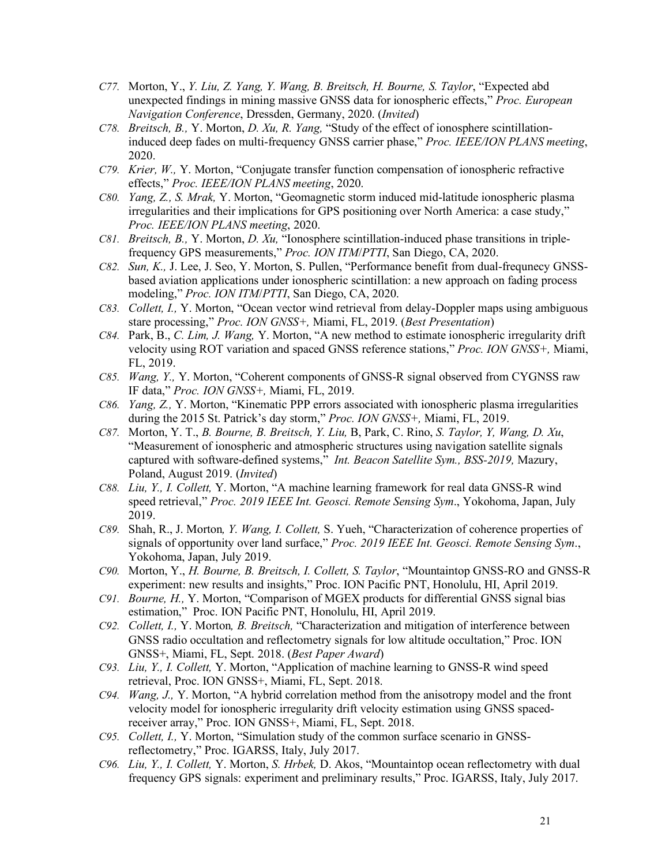- *C77.* Morton, Y., *Y. Liu, Z. Yang, Y. Wang, B. Breitsch, H. Bourne, S. Taylor*, "Expected abd unexpected findings in mining massive GNSS data for ionospheric effects," *Proc. European Navigation Conference*, Dressden, Germany, 2020. (*Invited*)
- *C78. Breitsch, B.,* Y. Morton, *D. Xu, R. Yang,* "Study of the effect of ionosphere scintillationinduced deep fades on multi-frequency GNSS carrier phase," *Proc. IEEE/ION PLANS meeting*, 2020.
- *C79. Krier, W.,* Y. Morton, "Conjugate transfer function compensation of ionospheric refractive effects," *Proc. IEEE/ION PLANS meeting*, 2020.
- *C80. Yang, Z., S. Mrak,* Y. Morton, "Geomagnetic storm induced mid-latitude ionospheric plasma irregularities and their implications for GPS positioning over North America: a case study," *Proc. IEEE/ION PLANS meeting*, 2020.
- *C81. Breitsch, B.,* Y. Morton, *D. Xu,* "Ionosphere scintillation-induced phase transitions in triplefrequency GPS measurements," *Proc. ION ITM*/*PTTI*, San Diego, CA, 2020.
- *C82. Sun, K.,* J. Lee, J. Seo, Y. Morton, S. Pullen, "Performance benefit from dual-frequnecy GNSSbased aviation applications under ionospheric scintillation: a new approach on fading process modeling," *Proc. ION ITM*/*PTTI*, San Diego, CA, 2020.
- *C83. Collett, I.,* Y. Morton, "Ocean vector wind retrieval from delay-Doppler maps using ambiguous stare processing," *Proc. ION GNSS+,* Miami, FL, 2019. (*Best Presentation*)
- *C84.* Park, B., *C. Lim, J. Wang,* Y. Morton, "A new method to estimate ionospheric irregularity drift velocity using ROT variation and spaced GNSS reference stations," *Proc. ION GNSS+,* Miami, FL, 2019.
- *C85. Wang, Y.,* Y. Morton, "Coherent components of GNSS-R signal observed from CYGNSS raw IF data," *Proc. ION GNSS+,* Miami, FL, 2019.
- *C86. Yang, Z.,* Y. Morton, "Kinematic PPP errors associated with ionospheric plasma irregularities during the 2015 St. Patrick's day storm," *Proc. ION GNSS+,* Miami, FL, 2019.
- *C87.* Morton, Y. T., *B. Bourne, B. Breitsch, Y. Liu,* B, Park, C. Rino, *S. Taylor, Y, Wang, D. Xu*, "Measurement of ionospheric and atmospheric structures using navigation satellite signals captured with software-defined systems," *Int. Beacon Satellite Sym., BSS-2019,* Mazury, Poland, August 2019. (*Invited*)
- *C88. Liu, Y., I. Collett,* Y. Morton, "A machine learning framework for real data GNSS-R wind speed retrieval," *Proc. 2019 IEEE Int. Geosci. Remote Sensing Sym*., Yokohoma, Japan, July 2019.
- *C89.* Shah, R., J. Morton*, Y. Wang, I. Collett,* S. Yueh, "Characterization of coherence properties of signals of opportunity over land surface," *Proc. 2019 IEEE Int. Geosci. Remote Sensing Sym*., Yokohoma, Japan, July 2019.
- *C90.* Morton, Y., *H. Bourne, B. Breitsch, I. Collett, S. Taylor*, "Mountaintop GNSS-RO and GNSS-R experiment: new results and insights," Proc. ION Pacific PNT, Honolulu, HI, April 2019.
- *C91. Bourne, H.,* Y. Morton, "Comparison of MGEX products for differential GNSS signal bias estimation," Proc. ION Pacific PNT, Honolulu, HI, April 2019.
- *C92. Collett, I.,* Y. Morton*, B. Breitsch,* "Characterization and mitigation of interference between GNSS radio occultation and reflectometry signals for low altitude occultation," Proc. ION GNSS+, Miami, FL, Sept. 2018. (*Best Paper Award*)
- *C93. Liu, Y., I. Collett,* Y. Morton, "Application of machine learning to GNSS-R wind speed retrieval, Proc. ION GNSS+, Miami, FL, Sept. 2018.
- *C94. Wang, J.,* Y. Morton, "A hybrid correlation method from the anisotropy model and the front velocity model for ionospheric irregularity drift velocity estimation using GNSS spacedreceiver array," Proc. ION GNSS+, Miami, FL, Sept. 2018.
- *C95. Collett, I.,* Y. Morton, "Simulation study of the common surface scenario in GNSSreflectometry," Proc. IGARSS, Italy, July 2017.
- *C96. Liu, Y., I. Collett,* Y. Morton, *S. Hrbek,* D. Akos, "Mountaintop ocean reflectometry with dual frequency GPS signals: experiment and preliminary results," Proc. IGARSS, Italy, July 2017.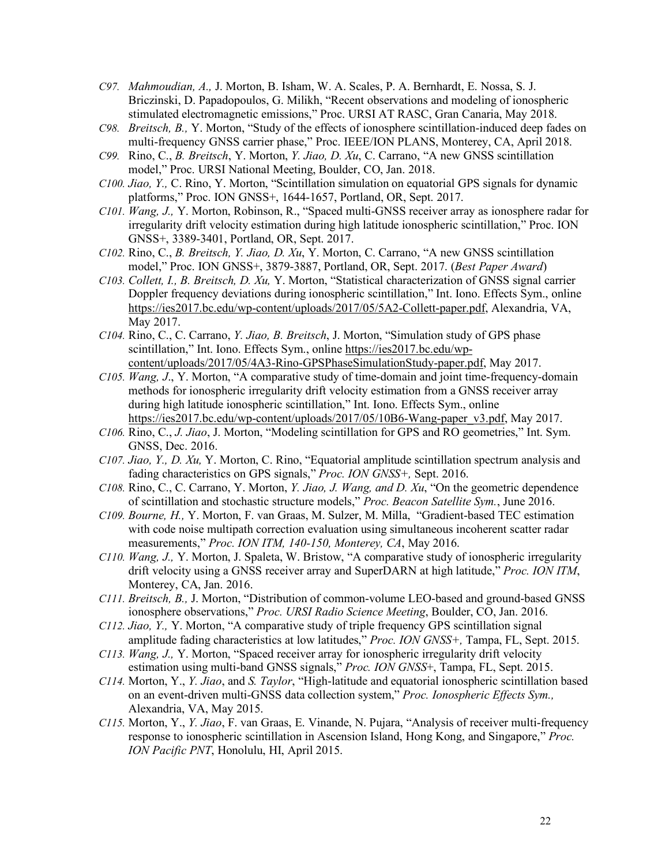- *C97. Mahmoudian, A.,* J. Morton, B. Isham, W. A. Scales, P. A. Bernhardt, E. Nossa, S. J. Briczinski, D. Papadopoulos, G. Milikh, "Recent observations and modeling of ionospheric stimulated electromagnetic emissions," Proc. URSI AT RASC, Gran Canaria, May 2018.
- *C98. Breitsch, B.,* Y. Morton, "Study of the effects of ionosphere scintillation-induced deep fades on multi-frequency GNSS carrier phase," Proc. IEEE/ION PLANS, Monterey, CA, April 2018.
- *C99.* Rino, C., *B. Breitsch*, Y. Morton, *Y. Jiao, D. Xu*, C. Carrano, "A new GNSS scintillation model," Proc. URSI National Meeting, Boulder, CO, Jan. 2018.
- *C100. Jiao, Y.,* C. Rino, Y. Morton, "Scintillation simulation on equatorial GPS signals for dynamic platforms," Proc. ION GNSS+, 1644-1657, Portland, OR, Sept. 2017.
- *C101. Wang, J.,* Y. Morton, Robinson, R., "Spaced multi-GNSS receiver array as ionosphere radar for irregularity drift velocity estimation during high latitude ionospheric scintillation," Proc. ION GNSS+, 3389-3401, Portland, OR, Sept. 2017.
- *C102.* Rino, C., *B. Breitsch, Y. Jiao, D. Xu*, Y. Morton, C. Carrano, "A new GNSS scintillation model," Proc. ION GNSS+, 3879-3887, Portland, OR, Sept. 2017. (*Best Paper Award*)
- *C103. Collett, I., B. Breitsch, D. Xu,* Y. Morton, "Statistical characterization of GNSS signal carrier Doppler frequency deviations during ionospheric scintillation," Int. Iono. Effects Sym., online https://ies2017.bc.edu/wp-content/uploads/2017/05/5A2-Collett-paper.pdf, Alexandria, VA, May 2017.
- *C104.* Rino, C., C. Carrano, *Y. Jiao, B. Breitsch*, J. Morton, "Simulation study of GPS phase scintillation," Int. Iono. Effects Sym., online https://ies2017.bc.edu/wpcontent/uploads/2017/05/4A3-Rino-GPSPhaseSimulationStudy-paper.pdf, May 2017.
- *C105. Wang, J*., Y. Morton, "A comparative study of time-domain and joint time-frequency-domain methods for ionospheric irregularity drift velocity estimation from a GNSS receiver array during high latitude ionospheric scintillation," Int. Iono. Effects Sym., online https://ies2017.bc.edu/wp-content/uploads/2017/05/10B6-Wang-paper\_v3.pdf, May 2017.
- *C106.* Rino, C., *J. Jiao*, J. Morton, "Modeling scintillation for GPS and RO geometries," Int. Sym. GNSS, Dec. 2016.
- *C107. Jiao, Y., D. Xu,* Y. Morton, C. Rino, "Equatorial amplitude scintillation spectrum analysis and fading characteristics on GPS signals," *Proc. ION GNSS+,* Sept. 2016.
- *C108.* Rino, C., C. Carrano, Y. Morton, *Y. Jiao, J. Wang, and D. Xu*, "On the geometric dependence of scintillation and stochastic structure models," *Proc. Beacon Satellite Sym.*, June 2016.
- *C109. Bourne, H.,* Y. Morton, F. van Graas, M. Sulzer, M. Milla, "Gradient-based TEC estimation with code noise multipath correction evaluation using simultaneous incoherent scatter radar measurements," *Proc. ION ITM, 140-150, Monterey, CA*, May 2016.
- *C110. Wang, J.,* Y. Morton, J. Spaleta, W. Bristow, "A comparative study of ionospheric irregularity drift velocity using a GNSS receiver array and SuperDARN at high latitude," *Proc. ION ITM*, Monterey, CA, Jan. 2016.
- *C111. Breitsch, B.,* J. Morton, "Distribution of common-volume LEO-based and ground-based GNSS ionosphere observations," *Proc. URSI Radio Science Meeting*, Boulder, CO, Jan. 2016.
- *C112. Jiao, Y.,* Y. Morton, "A comparative study of triple frequency GPS scintillation signal amplitude fading characteristics at low latitudes," *Proc. ION GNSS+,* Tampa, FL, Sept. 2015.
- *C113. Wang, J.,* Y. Morton, "Spaced receiver array for ionospheric irregularity drift velocity estimation using multi-band GNSS signals," *Proc. ION GNSS*+, Tampa, FL, Sept. 2015.
- *C114.* Morton, Y., *Y. Jiao*, and *S. Taylor*, "High-latitude and equatorial ionospheric scintillation based on an event-driven multi-GNSS data collection system," *Proc. Ionospheric Effects Sym.,* Alexandria, VA, May 2015.
- *C115.* Morton, Y., *Y. Jiao*, F. van Graas, E. Vinande, N. Pujara, "Analysis of receiver multi-frequency response to ionospheric scintillation in Ascension Island, Hong Kong, and Singapore," *Proc. ION Pacific PNT*, Honolulu, HI, April 2015.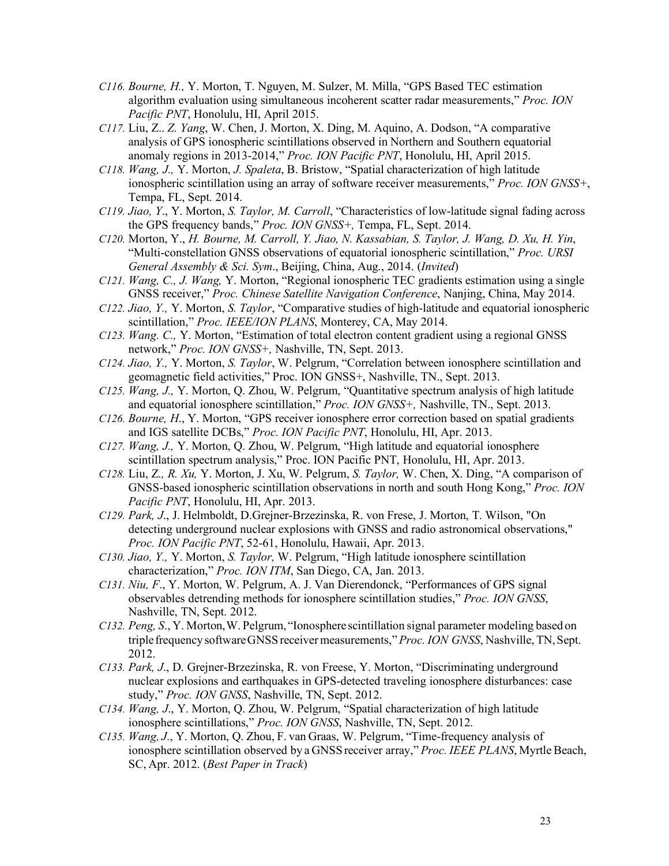- *C116. Bourne, H.,* Y. Morton, T. Nguyen, M. Sulzer, M. Milla, "GPS Based TEC estimation algorithm evaluation using simultaneous incoherent scatter radar measurements," *Proc. ION Pacific PNT*, Honolulu, HI, April 2015.
- *C117.* Liu, Z.. *Z. Yang*, W. Chen, J. Morton, X. Ding, M. Aquino, A. Dodson, "A comparative analysis of GPS ionospheric scintillations observed in Northern and Southern equatorial anomaly regions in 2013-2014," *Proc. ION Pacific PNT*, Honolulu, HI, April 2015.
- *C118. Wang, J.,* Y. Morton, *J. Spaleta*, B. Bristow, "Spatial characterization of high latitude ionospheric scintillation using an array of software receiver measurements," *Proc. ION GNSS+*, Tempa, FL, Sept. 2014.
- *C119. Jiao, Y*., Y. Morton, *S. Taylor, M. Carroll*, "Characteristics of low-latitude signal fading across the GPS frequency bands," *Proc. ION GNSS+,* Tempa, FL, Sept. 2014.
- *C120.* Morton, Y., *H. Bourne, M. Carroll, Y. Jiao, N. Kassabian, S. Taylor, J. Wang, D. Xu, H. Yin*, "Multi-constellation GNSS observations of equatorial ionospheric scintillation," *Proc. URSI General Assembly & Sci. Sym*., Beijing, China, Aug., 2014. (*Invited*)
- *C121. Wang, C., J. Wang,* Y. Morton, "Regional ionospheric TEC gradients estimation using a single GNSS receiver," *Proc. Chinese Satellite Navigation Conference*, Nanjing, China, May 2014.
- *C122. Jiao, Y.,* Y. Morton, *S. Taylor*, "Comparative studies of high-latitude and equatorial ionospheric scintillation," *Proc. IEEE/ION PLANS*, Monterey, CA, May 2014.
- *C123. Wang. C.,* Y. Morton, "Estimation of total electron content gradient using a regional GNSS network," *Proc. ION GNSS+,* Nashville, TN, Sept. 2013.
- *C124. Jiao, Y.,* Y. Morton, *S. Taylor*, W. Pelgrum, "Correlation between ionosphere scintillation and geomagnetic field activities," Proc. ION GNSS+, Nashville, TN., Sept. 2013.
- *C125. Wang, J.,* Y. Morton, Q. Zhou, W. Pelgrum, "Quantitative spectrum analysis of high latitude and equatorial ionosphere scintillation," *Proc. ION GNSS+,* Nashville, TN., Sept. 2013.
- *C126. Bourne, H*., Y. Morton, "GPS receiver ionosphere error correction based on spatial gradients and IGS satellite DCBs," *Proc. ION Pacific PNT*, Honolulu, HI, Apr. 2013.
- *C127. Wang, J.,* Y. Morton, Q. Zhou, W. Pelgrum, "High latitude and equatorial ionosphere scintillation spectrum analysis," Proc. ION Pacific PNT, Honolulu, HI, Apr. 2013.
- *C128.* Liu, Z*., R. Xu,* Y. Morton, J. Xu, W. Pelgrum, *S. Taylor,* W. Chen, X. Ding, "A comparison of GNSS-based ionospheric scintillation observations in north and south Hong Kong," *Proc. ION Pacific PNT*, Honolulu, HI, Apr. 2013.
- *C129. Park, J*., J. Helmboldt, D.Grejner-Brzezinska, R. von Frese, J. Morton, T. Wilson, "On detecting underground nuclear explosions with GNSS and radio astronomical observations," *Proc. ION Pacific PNT*, 52-61, Honolulu, Hawaii, Apr. 2013.
- *C130. Jiao, Y.,* Y. Morton, *S. Taylor,* W. Pelgrum, "High latitude ionosphere scintillation characterization," *Proc. ION ITM*, San Diego, CA, Jan. 2013.
- *C131. Niu, F*., Y. Morton, W. Pelgrum, A. J. Van Dierendonck, "Performances of GPS signal observables detrending methods for ionosphere scintillation studies," *Proc. ION GNSS*, Nashville, TN, Sept. 2012.
- *C132. Peng, S*., Y. Morton,W. Pelgrum, "Ionosphere scintillation signal parameter modeling based on triplefrequency softwareGNSS receivermeasurements,"*Proc. ION GNSS*, Nashville, TN,Sept. 2012.
- *C133. Park, J*., D. Grejner-Brzezinska, R. von Freese, Y. Morton, "Discriminating underground nuclear explosions and earthquakes in GPS-detected traveling ionosphere disturbances: case study," *Proc. ION GNSS*, Nashville, TN, Sept. 2012.
- *C134. Wang, J*., Y. Morton, Q. Zhou, W. Pelgrum, "Spatial characterization of high latitude ionosphere scintillations," *Proc. ION GNSS*, Nashville, TN, Sept. 2012.
- *C135. Wang, J*., Y. Morton, Q. Zhou, F. van Graas, W. Pelgrum, "Time-frequency analysis of ionosphere scintillation observed by a GNSS receiver array," Proc. IEEE PLANS, Myrtle Beach, SC, Apr. 2012. (*Best Paper in Track*)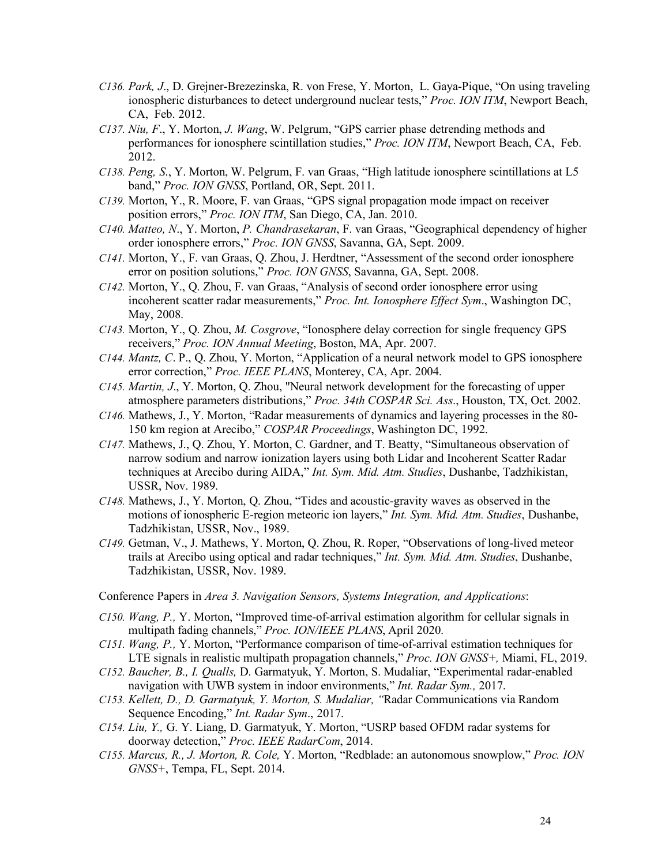- *C136. Park, J*., D. Grejner-Brezezinska, R. von Frese, Y. Morton, L. Gaya-Pique, "On using traveling ionospheric disturbances to detect underground nuclear tests," *Proc. ION ITM*, Newport Beach, CA, Feb. 2012.
- *C137. Niu, F*., Y. Morton, *J. Wang*, W. Pelgrum, "GPS carrier phase detrending methods and performances for ionosphere scintillation studies," *Proc. ION ITM*, Newport Beach, CA, Feb. 2012.
- *C138. Peng, S*., Y. Morton, W. Pelgrum, F. van Graas, "High latitude ionosphere scintillations at L5 band," *Proc. ION GNSS*, Portland, OR, Sept. 2011.
- *C139.* Morton, Y., R. Moore, F. van Graas, "GPS signal propagation mode impact on receiver position errors," *Proc. ION ITM*, San Diego, CA, Jan. 2010.
- *C140. Matteo, N*., Y. Morton, *P. Chandrasekaran*, F. van Graas, "Geographical dependency of higher order ionosphere errors," *Proc. ION GNSS*, Savanna, GA, Sept. 2009.
- *C141.* Morton, Y., F. van Graas, Q. Zhou, J. Herdtner, "Assessment of the second order ionosphere error on position solutions," *Proc. ION GNSS*, Savanna, GA, Sept. 2008.
- *C142.* Morton, Y., Q. Zhou, F. van Graas, "Analysis of second order ionosphere error using incoherent scatter radar measurements," *Proc. Int. Ionosphere Effect Sym*., Washington DC, May, 2008.
- *C143.* Morton, Y., Q. Zhou, *M. Cosgrove*, "Ionosphere delay correction for single frequency GPS receivers," *Proc. ION Annual Meeting*, Boston, MA, Apr. 2007.
- *C144. Mantz, C*. P., Q. Zhou, Y. Morton, "Application of a neural network model to GPS ionosphere error correction," *Proc. IEEE PLANS*, Monterey, CA, Apr. 2004.
- *C145. Martin, J*., Y. Morton, Q. Zhou, "Neural network development for the forecasting of upper atmosphere parameters distributions," *Proc. 34th COSPAR Sci. Ass*., Houston, TX, Oct. 2002.
- *C146.* Mathews, J., Y. Morton, "Radar measurements of dynamics and layering processes in the 80- 150 km region at Arecibo," *COSPAR Proceedings*, Washington DC, 1992.
- *C147.* Mathews, J., Q. Zhou, Y. Morton, C. Gardner, and T. Beatty, "Simultaneous observation of narrow sodium and narrow ionization layers using both Lidar and Incoherent Scatter Radar techniques at Arecibo during AIDA," *Int. Sym. Mid. Atm. Studies*, Dushanbe, Tadzhikistan, USSR, Nov. 1989.
- *C148.* Mathews, J., Y. Morton, Q. Zhou, "Tides and acoustic-gravity waves as observed in the motions of ionospheric E-region meteoric ion layers," *Int. Sym. Mid. Atm. Studies*, Dushanbe, Tadzhikistan, USSR, Nov., 1989.
- *C149.* Getman, V., J. Mathews, Y. Morton, Q. Zhou, R. Roper, "Observations of long-lived meteor trails at Arecibo using optical and radar techniques," *Int. Sym. Mid. Atm. Studies*, Dushanbe, Tadzhikistan, USSR, Nov. 1989.

Conference Papers in *Area 3. Navigation Sensors, Systems Integration, and Applications*:

- *C150. Wang, P.,* Y. Morton, "Improved time-of-arrival estimation algorithm for cellular signals in multipath fading channels," *Proc. ION/IEEE PLANS*, April 2020.
- *C151. Wang, P.,* Y. Morton, "Performance comparison of time-of-arrival estimation techniques for LTE signals in realistic multipath propagation channels," *Proc. ION GNSS+,* Miami, FL, 2019.
- *C152. Baucher, B., I. Qualls,* D. Garmatyuk, Y. Morton, S. Mudaliar, "Experimental radar-enabled navigation with UWB system in indoor environments," *Int. Radar Sym.,* 2017.
- *C153. Kellett, D., D. Garmatyuk, Y. Morton, S. Mudaliar, "*Radar Communications via Random Sequence Encoding," *Int. Radar Sym*., 2017.
- *C154. Liu, Y.,* G. Y. Liang, D. Garmatyuk, Y. Morton, "USRP based OFDM radar systems for doorway detection," *Proc. IEEE RadarCom*, 2014.
- *C155. Marcus, R., J. Morton, R. Cole,* Y. Morton, "Redblade: an autonomous snowplow," *Proc. ION GNSS+*, Tempa, FL, Sept. 2014.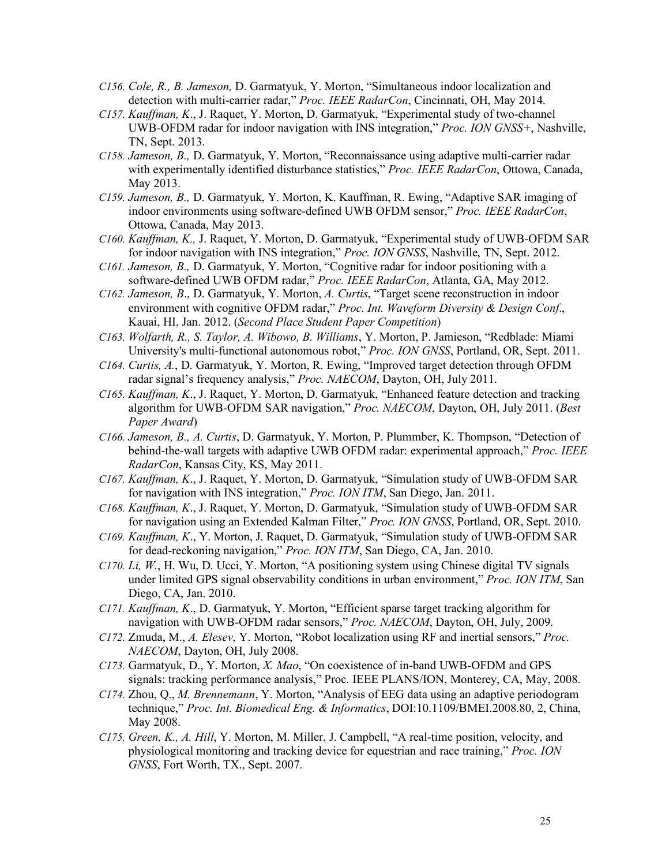- *C156. Cole, R., B. Jameson,* D. Garmatyuk, Y. Morton, "Simultaneous indoor localization and detection with multi-carrier radar," *Proc. IEEE RadarCon*, Cincinnati, OH, May 2014.
- *C157. Kauffman, K*., J. Raquet, Y. Morton, D. Garmatyuk, "Experimental study of two-channel UWB-OFDM radar for indoor navigation with INS integration," *Proc. ION GNSS+*, Nashville, TN, Sept. 2013.
- *C158. Jameson, B.,* D. Garmatyuk, Y. Morton, "Reconnaissance using adaptive multi-carrier radar with experimentally identified disturbance statistics," *Proc. IEEE RadarCon*, Ottowa, Canada, May 2013.
- *C159. Jameson, B.,* D. Garmatyuk, Y. Morton, K. Kauffman, R. Ewing, "Adaptive SAR imaging of indoor environments using software-defined UWB OFDM sensor," *Proc. IEEE RadarCon*, Ottowa, Canada, May 2013.
- *C160. Kauffman, K.,* J. Raquet, Y. Morton, D. Garmatyuk, "Experimental study of UWB-OFDM SAR for indoor navigation with INS integration," *Proc. ION GNSS*, Nashville, TN, Sept. 2012.
- *C161. Jameson, B.,* D. Garmatyuk, Y. Morton, "Cognitive radar for indoor positioning with a software-defined UWB OFDM radar," *Proc. IEEE RadarCon*, Atlanta, GA, May 2012.
- *C162. Jameson, B*., D. Garmatyuk, Y. Morton, *A. Curtis*, "Target scene reconstruction in indoor environment with cognitive OFDM radar," *Proc. Int. Waveform Diversity & Design Conf*., Kauai, HI, Jan. 2012. (*Second Place Student Paper Competition*)
- *C163. Wolfarth, R., S. Taylor, A. Wibowo, B. Williams*, Y. Morton, P. Jamieson, "Redblade: Miami University's multi-functional autonomous robot," *Proc. ION GNSS*, Portland, OR, Sept. 2011.
- *C164. Curtis, A.*, D. Garmatyuk, Y. Morton, R. Ewing, "Improved target detection through OFDM radar signal's frequency analysis," *Proc. NAECOM*, Dayton, OH, July 2011.
- *C165. Kauffman, K*., J. Raquet, Y. Morton, D. Garmatyuk, "Enhanced feature detection and tracking algorithm for UWB-OFDM SAR navigation," *Proc. NAECOM*, Dayton, OH, July 2011. (*Best Paper Award*)
- *C166. Jameson, B., A. Curtis*, D. Garmatyuk, Y. Morton, P. Plummber, K. Thompson, "Detection of behind-the-wall targets with adaptive UWB OFDM radar: experimental approach," *Proc. IEEE RadarCon*, Kansas City, KS, May 2011.
- *C167. Kauffman, K*., J. Raquet, Y. Morton, D. Garmatyuk, "Simulation study of UWB-OFDM SAR for navigation with INS integration," *Proc. ION ITM*, San Diego, Jan. 2011.
- *C168. Kauffman, K*., J. Raquet, Y. Morton, D. Garmatyuk, "Simulation study of UWB-OFDM SAR for navigation using an Extended Kalman Filter," *Proc. ION GNSS*, Portland, OR, Sept. 2010.
- *C169. Kauffman, K*., Y. Morton, J. Raquet, D. Garmatyuk, "Simulation study of UWB-OFDM SAR for dead-reckoning navigation," *Proc. ION ITM*, San Diego, CA, Jan. 2010.
- *C170. Li, W.*, H. Wu, D. Ucci, Y. Morton, "A positioning system using Chinese digital TV signals under limited GPS signal observability conditions in urban environment," *Proc. ION ITM*, San Diego, CA, Jan. 2010.
- *C171. Kauffman, K*., D. Garmatyuk, Y. Morton, "Efficient sparse target tracking algorithm for navigation with UWB-OFDM radar sensors," *Proc. NAECOM*, Dayton, OH, July, 2009.
- *C172.* Zmuda, M., *A. Elesev*, Y. Morton, "Robot localization using RF and inertial sensors," *Proc. NAECOM*, Dayton, OH, July 2008.
- *C173.* Garmatyuk, D., Y. Morton, *X. Mao*, "On coexistence of in-band UWB-OFDM and GPS signals: tracking performance analysis," Proc. IEEE PLANS/ION, Monterey, CA, May, 2008.
- *C174.* Zhou, Q., *M. Brennemann*, Y. Morton, "Analysis of EEG data using an adaptive periodogram technique," *Proc. Int. Biomedical Eng. & Informatics*, DOI:10.1109/BMEI.2008.80, 2, China, May 2008.
- *C175. Green, K., A. Hill*, Y. Morton, M. Miller, J. Campbell, "A real-time position, velocity, and physiological monitoring and tracking device for equestrian and race training," *Proc. ION GNSS*, Fort Worth, TX., Sept. 2007.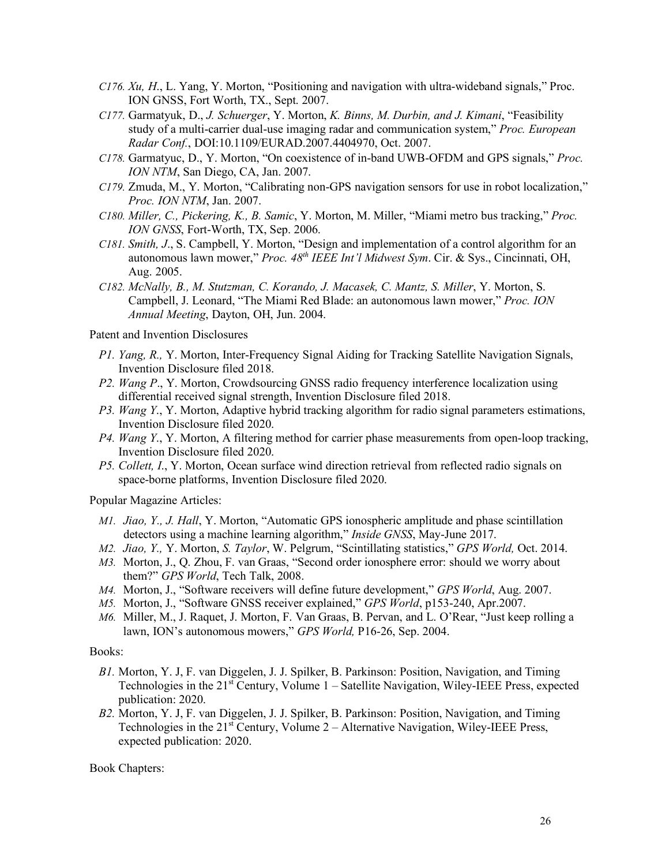- *C176. Xu, H*., L. Yang, Y. Morton, "Positioning and navigation with ultra-wideband signals," Proc. ION GNSS, Fort Worth, TX., Sept. 2007.
- *C177.* Garmatyuk, D., *J. Schuerger*, Y. Morton, *K. Binns, M. Durbin, and J. Kimani*, "Feasibility study of a multi-carrier dual-use imaging radar and communication system," *Proc. European Radar Conf.*, DOI:10.1109/EURAD.2007.4404970, Oct. 2007.
- *C178.* Garmatyuc, D., Y. Morton, "On coexistence of in-band UWB-OFDM and GPS signals," *Proc. ION NTM*, San Diego, CA, Jan. 2007.
- *C179.* Zmuda, M., Y. Morton, "Calibrating non-GPS navigation sensors for use in robot localization," *Proc. ION NTM*, Jan. 2007.
- *C180. Miller, C., Pickering, K., B. Samic*, Y. Morton, M. Miller, "Miami metro bus tracking," *Proc. ION GNSS*, Fort-Worth, TX, Sep. 2006.
- *C181. Smith, J*., S. Campbell, Y. Morton, "Design and implementation of a control algorithm for an autonomous lawn mower," *Proc. 48th IEEE Int'l Midwest Sym*. Cir. & Sys., Cincinnati, OH, Aug. 2005.
- *C182. McNally, B., M. Stutzman, C. Korando, J. Macasek, C. Mantz, S. Miller*, Y. Morton, S. Campbell, J. Leonard, "The Miami Red Blade: an autonomous lawn mower," *Proc. ION Annual Meeting*, Dayton, OH, Jun. 2004.

Patent and Invention Disclosures

- *P1. Yang, R.,* Y. Morton, Inter-Frequency Signal Aiding for Tracking Satellite Navigation Signals, Invention Disclosure filed 2018.
- *P2. Wang P*., Y. Morton, Crowdsourcing GNSS radio frequency interference localization using differential received signal strength, Invention Disclosure filed 2018.
- *P3. Wang Y*., Y. Morton, Adaptive hybrid tracking algorithm for radio signal parameters estimations, Invention Disclosure filed 2020.
- *P4. Wang Y*., Y. Morton, A filtering method for carrier phase measurements from open-loop tracking, Invention Disclosure filed 2020.
- *P5. Collett, I*., Y. Morton, Ocean surface wind direction retrieval from reflected radio signals on space-borne platforms, Invention Disclosure filed 2020.

Popular Magazine Articles:

- *M1. Jiao, Y., J. Hall*, Y. Morton, "Automatic GPS ionospheric amplitude and phase scintillation detectors using a machine learning algorithm," *Inside GNSS*, May-June 2017.
- *M2. Jiao, Y.,* Y. Morton, *S. Taylor*, W. Pelgrum, "Scintillating statistics," *GPS World,* Oct. 2014.
- *M3.* Morton, J., Q. Zhou, F. van Graas, "Second order ionosphere error: should we worry about them?" *GPS World*, Tech Talk, 2008.
- *M4.* Morton, J., "Software receivers will define future development," *GPS World*, Aug. 2007.
- *M5.* Morton, J., "Software GNSS receiver explained," *GPS World*, p153-240, Apr.2007.
- *M6.* Miller, M., J. Raquet, J. Morton, F. Van Graas, B. Pervan, and L. O'Rear, "Just keep rolling a lawn, ION's autonomous mowers," *GPS World,* P16-26, Sep. 2004.

#### Books:

- *B1.* Morton, Y. J, F. van Diggelen, J. J. Spilker, B. Parkinson: Position, Navigation, and Timing Technologies in the 21<sup>st</sup> Century, Volume 1 – Satellite Navigation, Wiley-IEEE Press, expected publication: 2020.
- *B2.* Morton, Y. J, F. van Diggelen, J. J. Spilker, B. Parkinson: Position, Navigation, and Timing Technologies in the  $21<sup>st</sup>$  Century, Volume  $2 -$  Alternative Navigation, Wiley-IEEE Press, expected publication: 2020.

Book Chapters: